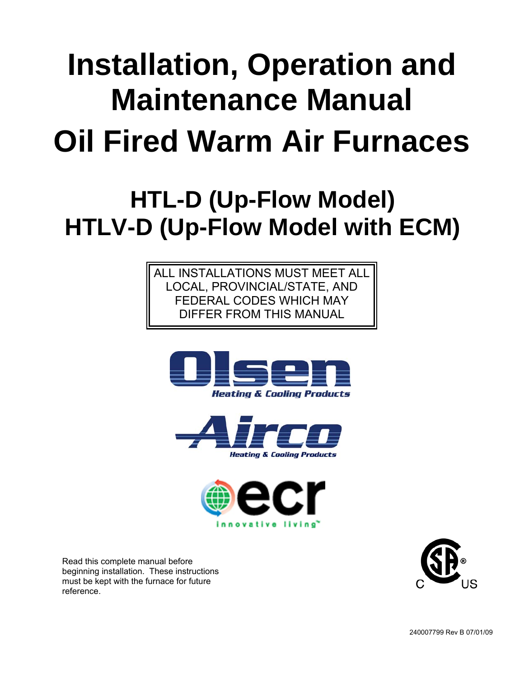# **Installation, Operation and Maintenance Manual Oil Fired Warm Air Furnaces**

# **HTL-D (Up-Flow Model) HTLV-D (Up-Flow Model with ECM)**

ALL INSTALLATIONS MUST MEET ALL LOCAL, PROVINCIAL/STATE, AND FEDERAL CODES WHICH MAY DIFFER FROM THIS MANUAL







Read this complete manual before beginning installation. These instructions must be kept with the furnace for future reference.

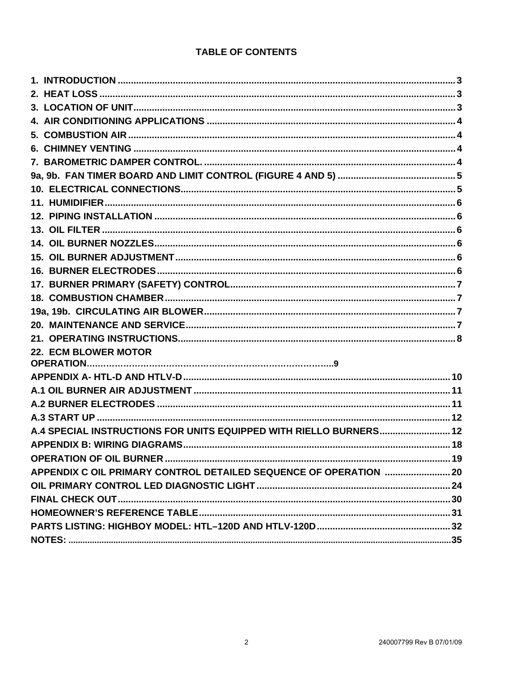#### **TABLE OF CONTENTS**

| 22. ECM BLOWER MOTOR                                               |  |
|--------------------------------------------------------------------|--|
|                                                                    |  |
|                                                                    |  |
|                                                                    |  |
|                                                                    |  |
|                                                                    |  |
| A.4 SPECIAL INSTRUCTIONS FOR UNITS EQUIPPED WITH RIELLO BURNERS 12 |  |
|                                                                    |  |
| <b>OPERATION OF OIL BURNER</b>                                     |  |
| APPENDIX C OIL PRIMARY CONTROL DETAILED SEQUENCE OF OPERATION  20  |  |
|                                                                    |  |
|                                                                    |  |
|                                                                    |  |
|                                                                    |  |
|                                                                    |  |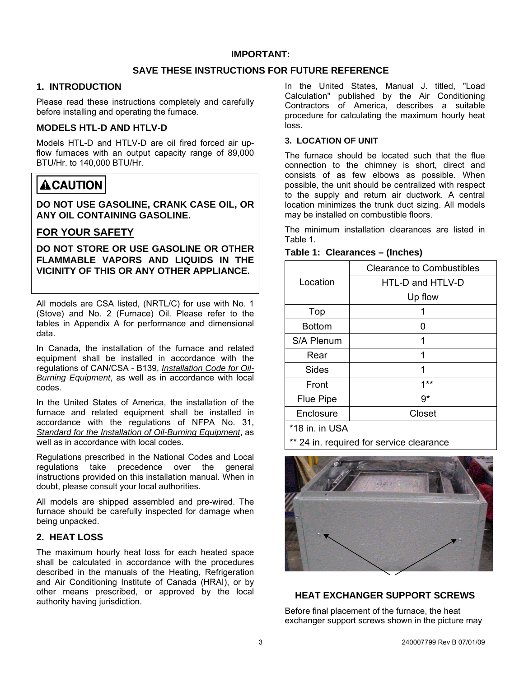#### **SAVE THESE INSTRUCTIONS FOR FUTURE REFERENCE**

#### <span id="page-2-0"></span>**1. INTRODUCTION**

Please read these instructions completely and carefully before installing and operating the furnace.

#### **MODELS HTL-D AND HTLV-D**

Models HTL-D and HTLV-D are oil fired forced air upflow furnaces with an output capacity range of 89,000 BTU/Hr. to 140,000 BTU/Hr.

## **ACAUTION**

**DO NOT USE GASOLINE, CRANK CASE OIL, OR ANY OIL CONTAINING GASOLINE.** 

#### **FOR YOUR SAFETY**

**DO NOT STORE OR USE GASOLINE OR OTHER FLAMMABLE VAPORS AND LIQUIDS IN THE VICINITY OF THIS OR ANY OTHER APPLIANCE.** 

All models are CSA listed, (NRTL/C) for use with No. 1 (Stove) and No. 2 (Furnace) Oil. Please refer to the tables in Appendix A for performance and dimensional data.

In Canada, the installation of the furnace and related equipment shall be installed in accordance with the regulations of CAN/CSA - B139, *Installation Code for Oil-Burning Equipment*, as well as in accordance with local codes.

In the United States of America, the installation of the furnace and related equipment shall be installed in accordance with the regulations of NFPA No. 31, *Standard for the Installation of Oil-Burning Equipment*, as well as in accordance with local codes.

Regulations prescribed in the National Codes and Local regulations take precedence over the general instructions provided on this installation manual. When in doubt, please consult your local authorities.

All models are shipped assembled and pre-wired. The furnace should be carefully inspected for damage when being unpacked.

#### **2. HEAT LOSS**

The maximum hourly heat loss for each heated space shall be calculated in accordance with the procedures described in the manuals of the Heating, Refrigeration and Air Conditioning Institute of Canada (HRAI), or by other means prescribed, or approved by the local authority having jurisdiction.

In the United States, Manual J. titled, "Load Calculation" published by the Air Conditioning Contractors of America, describes a suitable procedure for calculating the maximum hourly heat loss.

#### **3. LOCATION OF UNIT**

The furnace should be located such that the flue connection to the chimney is short, direct and consists of as few elbows as possible. When possible, the unit should be centralized with respect to the supply and return air ductwork. A central location minimizes the trunk duct sizing. All models may be installed on combustible floors.

The minimum installation clearances are listed in Table 1.

| Table 1: Clearances – (Inches) |  |
|--------------------------------|--|
|--------------------------------|--|

|                  | <b>Clearance to Combustibles</b> |
|------------------|----------------------------------|
| Location         | HTL-D and HTLV-D                 |
|                  | Up flow                          |
| Top              |                                  |
| <b>Bottom</b>    | O                                |
| S/A Plenum       |                                  |
| Rear             | 1                                |
| Sides            | 1                                |
| Front            | $1**$                            |
| <b>Flue Pipe</b> | 9*                               |
| Enclosure        | Closet                           |
| $+40 = 1100$     |                                  |

18 in. in USA

24 in. required for service clearance



#### **HEAT EXCHANGER SUPPORT SCREWS**

Before final placement of the furnace, the heat exchanger support screws shown in the picture may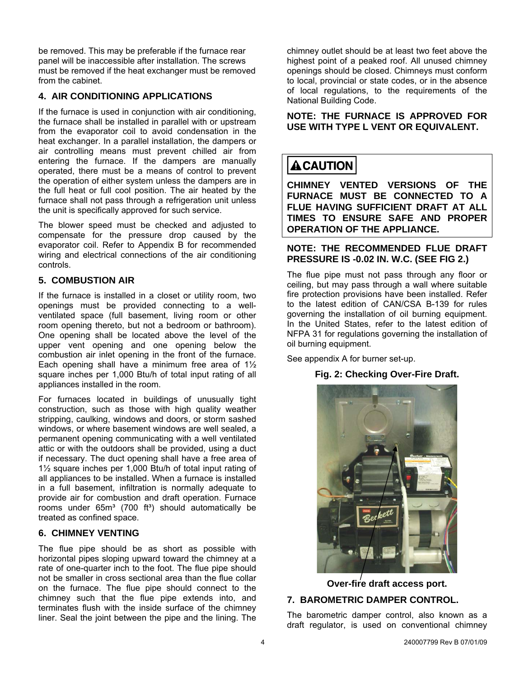<span id="page-3-0"></span>be removed. This may be preferable if the furnace rear panel will be inaccessible after installation. The screws must be removed if the heat exchanger must be removed from the cabinet.

#### **4. AIR CONDITIONING APPLICATIONS**

If the furnace is used in conjunction with air conditioning, the furnace shall be installed in parallel with or upstream from the evaporator coil to avoid condensation in the heat exchanger. In a parallel installation, the dampers or air controlling means must prevent chilled air from entering the furnace. If the dampers are manually operated, there must be a means of control to prevent the operation of either system unless the dampers are in the full heat or full cool position. The air heated by the furnace shall not pass through a refrigeration unit unless the unit is specifically approved for such service.

The blower speed must be checked and adjusted to compensate for the pressure drop caused by the evaporator coil. Refer to Appendix B for recommended wiring and electrical connections of the air conditioning controls.

#### **5. COMBUSTION AIR**

If the furnace is installed in a closet or utility room, two openings must be provided connecting to a wellventilated space (full basement, living room or other room opening thereto, but not a bedroom or bathroom). One opening shall be located above the level of the upper vent opening and one opening below the combustion air inlet opening in the front of the furnace. Each opening shall have a minimum free area of 1½ square inches per 1,000 Btu/h of total input rating of all appliances installed in the room.

For furnaces located in buildings of unusually tight construction, such as those with high quality weather stripping, caulking, windows and doors, or storm sashed windows, or where basement windows are well sealed, a permanent opening communicating with a well ventilated attic or with the outdoors shall be provided, using a duct if necessary. The duct opening shall have a free area of 1½ square inches per 1,000 Btu/h of total input rating of all appliances to be installed. When a furnace is installed in a full basement, infiltration is normally adequate to provide air for combustion and draft operation. Furnace rooms under  $65m<sup>3</sup>$  (700 ft<sup>3</sup>) should automatically be treated as confined space.

#### **6. CHIMNEY VENTING**

The flue pipe should be as short as possible with horizontal pipes sloping upward toward the chimney at a rate of one-quarter inch to the foot. The flue pipe should not be smaller in cross sectional area than the flue collar on the furnace. The flue pipe should connect to the chimney such that the flue pipe extends into, and terminates flush with the inside surface of the chimney liner. Seal the joint between the pipe and the lining. The chimney outlet should be at least two feet above the highest point of a peaked roof. All unused chimney openings should be closed. Chimneys must conform to local, provincial or state codes, or in the absence of local regulations, to the requirements of the National Building Code.

#### **NOTE: THE FURNACE IS APPROVED FOR USE WITH TYPE L VENT OR EQUIVALENT.**

# **ACAUTION**

**CHIMNEY VENTED VERSIONS OF THE FURNACE MUST BE CONNECTED TO A FLUE HAVING SUFFICIENT DRAFT AT ALL TIMES TO ENSURE SAFE AND PROPER OPERATION OF THE APPLIANCE.** 

#### **NOTE: THE RECOMMENDED FLUE DRAFT PRESSURE IS -0.02 IN. W.C. (SEE FIG 2.)**

The flue pipe must not pass through any floor or ceiling, but may pass through a wall where suitable fire protection provisions have been installed. Refer to the latest edition of CAN/CSA B-139 for rules governing the installation of oil burning equipment. In the United States, refer to the latest edition of NFPA 31 for regulations governing the installation of oil burning equipment.

See appendix A for burner set-up.

#### **Fig. 2: Checking Over-Fire Draft.**



**Over-fire draft access port.** 

#### **7. BAROMETRIC DAMPER CONTROL.**

The barometric damper control, also known as a draft regulator, is used on conventional chimney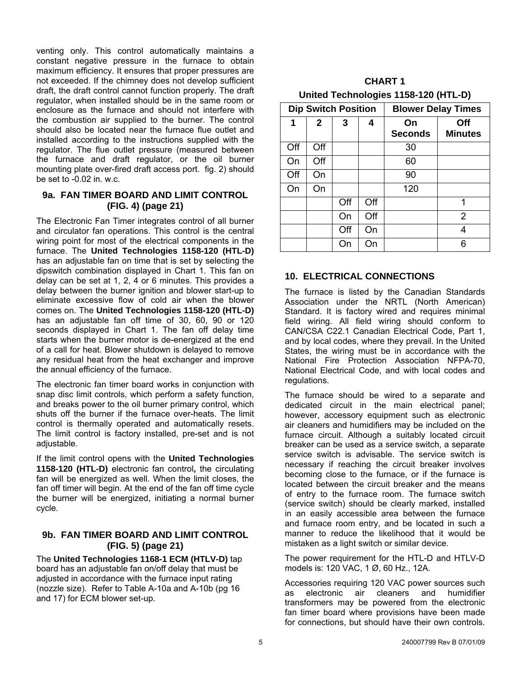<span id="page-4-0"></span>venting only. This control automatically maintains a constant negative pressure in the furnace to obtain maximum efficiency. It ensures that proper pressures are not exceeded. If the chimney does not develop sufficient draft, the draft control cannot function properly. The draft regulator, when installed should be in the same room or enclosure as the furnace and should not interfere with the combustion air supplied to the burner. The control should also be located near the furnace flue outlet and installed according to the instructions supplied with the regulator. The flue outlet pressure (measured between the furnace and draft regulator, or the oil burner mounting plate over-fired draft access port. fig. 2) should be set to -0.02 in. w.c.

#### **9a. FAN TIMER BOARD AND LIMIT CONTROL (FIG. 4) (page 21)**

The Electronic Fan Timer integrates control of all burner and circulator fan operations. This control is the central wiring point for most of the electrical components in the furnace. The **United Technologies 1158-120 (HTL-D)** has an adjustable fan on time that is set by selecting the dipswitch combination displayed in Chart 1. This fan on delay can be set at 1, 2, 4 or 6 minutes. This provides a delay between the burner ignition and blower start-up to eliminate excessive flow of cold air when the blower comes on. The **United Technologies 1158-120 (HTL-D)**  has an adjustable fan off time of 30, 60, 90 or 120 seconds displayed in Chart 1. The fan off delay time starts when the burner motor is de-energized at the end of a call for heat. Blower shutdown is delayed to remove any residual heat from the heat exchanger and improve the annual efficiency of the furnace.

The electronic fan timer board works in conjunction with snap disc limit controls, which perform a safety function, and breaks power to the oil burner primary control, which shuts off the burner if the furnace over-heats. The limit control is thermally operated and automatically resets. The limit control is factory installed, pre-set and is not adjustable.

If the limit control opens with the **United Technologies 1158-120 (HTL-D)** electronic fan control**,** the circulating fan will be energized as well. When the limit closes, the fan off timer will begin. At the end of the fan off time cycle the burner will be energized, initiating a normal burner cycle.

#### **9b. FAN TIMER BOARD AND LIMIT CONTROL (FIG. 5) (page 21)**

The **United Technologies 1168-1 ECM (HTLV-D)** tap board has an adjustable fan on/off delay that must be adjusted in accordance with the furnace input rating (nozzle size). Refer to Table A-10a and A-10b (pg 16 and 17) for ECM blower set-up.

| <b>CHART 1</b>                       |  |  |  |  |  |  |  |
|--------------------------------------|--|--|--|--|--|--|--|
| United Technologies 1158-120 (HTL-D) |  |  |  |  |  |  |  |

|     | <b>Dip Switch Position</b> |     |     |                      | <b>Blower Delay Times</b> |
|-----|----------------------------|-----|-----|----------------------|---------------------------|
| 1   | $\overline{2}$             | 3   | 4   | On<br><b>Seconds</b> | Off<br><b>Minutes</b>     |
| Off | Off                        |     |     | 30                   |                           |
| On  | Off                        |     |     | 60                   |                           |
| Off | On                         |     |     | 90                   |                           |
| On  | On                         |     |     | 120                  |                           |
|     |                            | Off | Off |                      | 1                         |
|     |                            | On  | Off |                      | $\overline{2}$            |
|     |                            | Off | On  |                      | 4                         |
|     |                            | On  | On  |                      | հ                         |

#### **10. ELECTRICAL CONNECTIONS**

The furnace is listed by the Canadian Standards Association under the NRTL (North American) Standard. It is factory wired and requires minimal field wiring. All field wiring should conform to CAN/CSA C22.1 Canadian Electrical Code, Part 1, and by local codes, where they prevail. In the United States, the wiring must be in accordance with the National Fire Protection Association NFPA-70, National Electrical Code, and with local codes and regulations.

The furnace should be wired to a separate and dedicated circuit in the main electrical panel; however, accessory equipment such as electronic air cleaners and humidifiers may be included on the furnace circuit. Although a suitably located circuit breaker can be used as a service switch, a separate service switch is advisable. The service switch is necessary if reaching the circuit breaker involves becoming close to the furnace, or if the furnace is located between the circuit breaker and the means of entry to the furnace room. The furnace switch (service switch) should be clearly marked, installed in an easily accessible area between the furnace and furnace room entry, and be located in such a manner to reduce the likelihood that it would be mistaken as a light switch or similar device.

The power requirement for the HTL-D and HTLV-D models is: 120 VAC, 1 Ø, 60 Hz., 12A.

Accessories requiring 120 VAC power sources such as electronic air cleaners and humidifier transformers may be powered from the electronic fan timer board where provisions have been made for connections, but should have their own controls.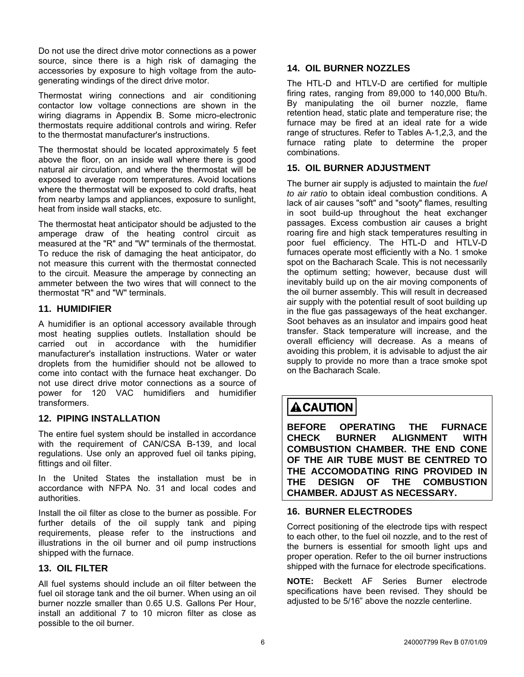<span id="page-5-0"></span>Do not use the direct drive motor connections as a power source, since there is a high risk of damaging the accessories by exposure to high voltage from the autogenerating windings of the direct drive motor.

Thermostat wiring connections and air conditioning contactor low voltage connections are shown in the wiring diagrams in Appendix B. Some micro-electronic thermostats require additional controls and wiring. Refer to the thermostat manufacturer's instructions.

The thermostat should be located approximately 5 feet above the floor, on an inside wall where there is good natural air circulation, and where the thermostat will be exposed to average room temperatures. Avoid locations where the thermostat will be exposed to cold drafts, heat from nearby lamps and appliances, exposure to sunlight, heat from inside wall stacks, etc.

The thermostat heat anticipator should be adjusted to the amperage draw of the heating control circuit as measured at the "R" and "W" terminals of the thermostat. To reduce the risk of damaging the heat anticipator, do not measure this current with the thermostat connected to the circuit. Measure the amperage by connecting an ammeter between the two wires that will connect to the thermostat "R" and "W" terminals.

#### **11. HUMIDIFIER**

A humidifier is an optional accessory available through most heating supplies outlets. Installation should be carried out in accordance with the humidifier manufacturer's installation instructions. Water or water droplets from the humidifier should not be allowed to come into contact with the furnace heat exchanger. Do not use direct drive motor connections as a source of power for 120 VAC humidifiers and humidifier transformers.

#### **12. PIPING INSTALLATION**

The entire fuel system should be installed in accordance with the requirement of CAN/CSA B-139, and local regulations. Use only an approved fuel oil tanks piping, fittings and oil filter.

In the United States the installation must be in accordance with NFPA No. 31 and local codes and authorities.

Install the oil filter as close to the burner as possible. For further details of the oil supply tank and piping requirements, please refer to the instructions and illustrations in the oil burner and oil pump instructions shipped with the furnace.

#### **13. OIL FILTER**

All fuel systems should include an oil filter between the fuel oil storage tank and the oil burner. When using an oil burner nozzle smaller than 0.65 U.S. Gallons Per Hour, install an additional 7 to 10 micron filter as close as possible to the oil burner.

#### **14. OIL BURNER NOZZLES**

The HTL-D and HTLV-D are certified for multiple firing rates, ranging from 89,000 to 140,000 Btu/h. By manipulating the oil burner nozzle, flame retention head, static plate and temperature rise; the furnace may be fired at an ideal rate for a wide range of structures. Refer to Tables A-1,2,3, and the furnace rating plate to determine the proper combinations.

#### **15. OIL BURNER ADJUSTMENT**

The burner air supply is adjusted to maintain the *fuel to air ratio* to obtain ideal combustion conditions. A lack of air causes "soft" and "sooty" flames, resulting in soot build-up throughout the heat exchanger passages. Excess combustion air causes a bright roaring fire and high stack temperatures resulting in poor fuel efficiency. The HTL-D and HTLV-D furnaces operate most efficiently with a No. 1 smoke spot on the Bacharach Scale. This is not necessarily the optimum setting; however, because dust will inevitably build up on the air moving components of the oil burner assembly. This will result in decreased air supply with the potential result of soot building up in the flue gas passageways of the heat exchanger. Soot behaves as an insulator and impairs good heat transfer. Stack temperature will increase, and the overall efficiency will decrease. As a means of avoiding this problem, it is advisable to adjust the air supply to provide no more than a trace smoke spot on the Bacharach Scale.

# **ACAUTION**

**BEFORE OPERATING THE FURNACE CHECK BURNER ALIGNMENT WITH COMBUSTION CHAMBER. THE END CONE OF THE AIR TUBE MUST BE CENTRED TO THE ACCOMODATING RING PROVIDED IN THE DESIGN OF THE COMBUSTION CHAMBER. ADJUST AS NECESSARY.** 

#### **16. BURNER ELECTRODES**

Correct positioning of the electrode tips with respect to each other, to the fuel oil nozzle, and to the rest of the burners is essential for smooth light ups and proper operation. Refer to the oil burner instructions shipped with the furnace for electrode specifications.

**NOTE:** Beckett AF Series Burner electrode specifications have been revised. They should be adjusted to be 5/16" above the nozzle centerline.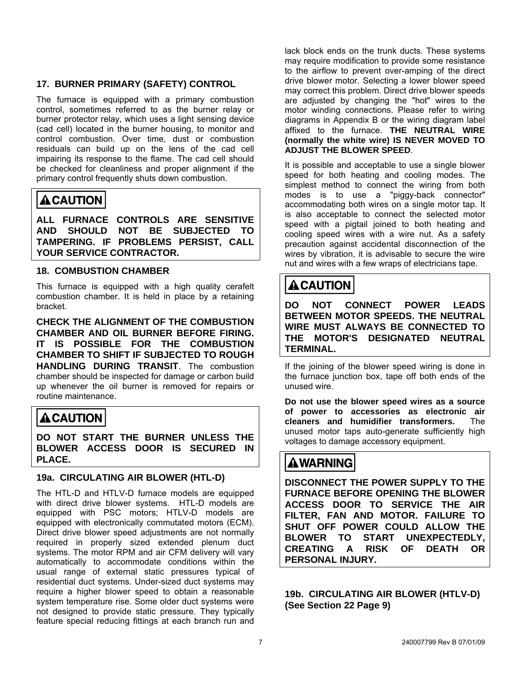#### <span id="page-6-0"></span>**17. BURNER PRIMARY (SAFETY) CONTROL**

The furnace is equipped with a primary combustion control, sometimes referred to as the burner relay or burner protector relay, which uses a light sensing device (cad cell) located in the burner housing, to monitor and control combustion. Over time, dust or combustion residuals can build up on the lens of the cad cell impairing its response to the flame. The cad cell should be checked for cleanliness and proper alignment if the primary control frequently shuts down combustion.

# **ACAUTION**

**ALL FURNACE CONTROLS ARE SENSITIVE AND SHOULD NOT BE SUBJECTED TO TAMPERING. IF PROBLEMS PERSIST, CALL YOUR SERVICE CONTRACTOR.** 

#### **18. COMBUSTION CHAMBER**

This furnace is equipped with a high quality cerafelt combustion chamber. It is held in place by a retaining bracket.

**CHECK THE ALIGNMENT OF THE COMBUSTION CHAMBER AND OIL BURNER BEFORE FIRING. IT IS POSSIBLE FOR THE COMBUSTION CHAMBER TO SHIFT IF SUBJECTED TO ROUGH HANDLING DURING TRANSIT**. The combustion chamber should be inspected for damage or carbon build up whenever the oil burner is removed for repairs or routine maintenance.

# **ACAUTION**

**DO NOT START THE BURNER UNLESS THE BLOWER ACCESS DOOR IS SECURED IN PLACE.** 

#### **19a. CIRCULATING AIR BLOWER (HTL-D)**

The HTL-D and HTLV-D furnace models are equipped with direct drive blower systems. HTL-D models are equipped with PSC motors; HTLV-D models are equipped with electronically commutated motors (ECM). Direct drive blower speed adjustments are not normally required in properly sized extended plenum duct systems. The motor RPM and air CFM delivery will vary automatically to accommodate conditions within the usual range of external static pressures typical of residential duct systems. Under-sized duct systems may require a higher blower speed to obtain a reasonable system temperature rise. Some older duct systems were not designed to provide static pressure. They typically feature special reducing fittings at each branch run and

lack block ends on the trunk ducts. These systems may require modification to provide some resistance to the airflow to prevent over-amping of the direct drive blower motor. Selecting a lower blower speed may correct this problem. Direct drive blower speeds are adjusted by changing the "hot" wires to the motor winding connections. Please refer to wiring diagrams in Appendix B or the wiring diagram label affixed to the furnace. **THE NEUTRAL WIRE (normally the white wire) IS NEVER MOVED TO ADJUST THE BLOWER SPEED**.

It is possible and acceptable to use a single blower speed for both heating and cooling modes. The simplest method to connect the wiring from both modes is to use a "piggy-back connector" accommodating both wires on a single motor tap. It is also acceptable to connect the selected motor speed with a pigtail joined to both heating and cooling speed wires with a wire nut. As a safety precaution against accidental disconnection of the wires by vibration, it is advisable to secure the wire nut and wires with a few wraps of electricians tape.

# **ACAUTION**

**DO NOT CONNECT POWER LEADS BETWEEN MOTOR SPEEDS. THE NEUTRAL WIRE MUST ALWAYS BE CONNECTED TO THE MOTOR'S DESIGNATED NEUTRAL TERMINAL.** 

If the joining of the blower speed wiring is done in the furnace junction box, tape off both ends of the unused wire.

**Do not use the blower speed wires as a source of power to accessories as electronic air cleaners and humidifier transformers.** The unused motor taps auto-generate sufficiently high voltages to damage accessory equipment.

# **AWARNING**

**DISCONNECT THE POWER SUPPLY TO THE FURNACE BEFORE OPENING THE BLOWER ACCESS DOOR TO SERVICE THE AIR FILTER, FAN AND MOTOR. FAILURE TO SHUT OFF POWER COULD ALLOW THE BLOWER TO START UNEXPECTEDLY, CREATING A RISK OF DEATH OR PERSONAL INJURY.** 

**19b. CIRCULATING AIR BLOWER (HTLV-D) (See Section 22 Page 9)**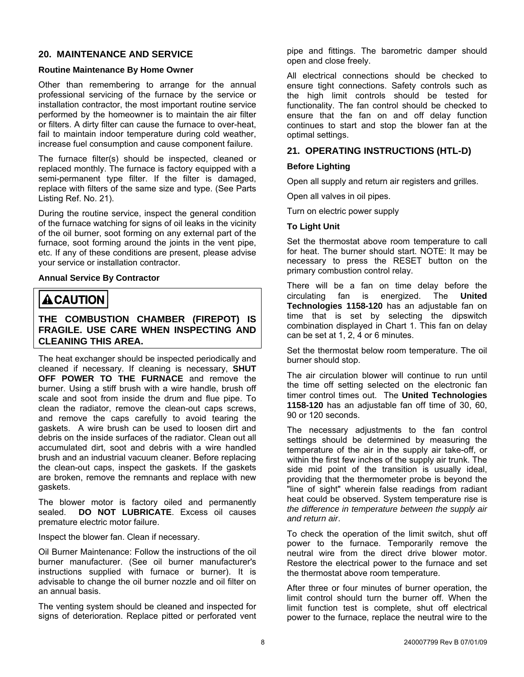#### <span id="page-7-0"></span>**20. MAINTENANCE AND SERVICE**

#### **Routine Maintenance By Home Owner**

Other than remembering to arrange for the annual professional servicing of the furnace by the service or installation contractor, the most important routine service performed by the homeowner is to maintain the air filter or filters. A dirty filter can cause the furnace to over-heat, fail to maintain indoor temperature during cold weather, increase fuel consumption and cause component failure.

The furnace filter(s) should be inspected, cleaned or replaced monthly. The furnace is factory equipped with a semi-permanent type filter. If the filter is damaged, replace with filters of the same size and type. (See Parts Listing Ref. No. 21).

During the routine service, inspect the general condition of the furnace watching for signs of oil leaks in the vicinity of the oil burner, soot forming on any external part of the furnace, soot forming around the joints in the vent pipe, etc. If any of these conditions are present, please advise your service or installation contractor.

#### **Annual Service By Contractor**

### **ACAUTION**

#### **THE COMBUSTION CHAMBER (FIREPOT) IS FRAGILE. USE CARE WHEN INSPECTING AND CLEANING THIS AREA.**

The heat exchanger should be inspected periodically and cleaned if necessary. If cleaning is necessary, **SHUT OFF POWER TO THE FURNACE** and remove the burner. Using a stiff brush with a wire handle, brush off scale and soot from inside the drum and flue pipe. To clean the radiator, remove the clean-out caps screws, and remove the caps carefully to avoid tearing the gaskets. A wire brush can be used to loosen dirt and debris on the inside surfaces of the radiator. Clean out all accumulated dirt, soot and debris with a wire handled brush and an industrial vacuum cleaner. Before replacing the clean-out caps, inspect the gaskets. If the gaskets are broken, remove the remnants and replace with new gaskets.

The blower motor is factory oiled and permanently sealed. **DO NOT LUBRICATE**. Excess oil causes premature electric motor failure.

Inspect the blower fan. Clean if necessary.

Oil Burner Maintenance: Follow the instructions of the oil burner manufacturer. (See oil burner manufacturer's instructions supplied with furnace or burner). It is advisable to change the oil burner nozzle and oil filter on an annual basis.

The venting system should be cleaned and inspected for signs of deterioration. Replace pitted or perforated vent pipe and fittings. The barometric damper should open and close freely.

All electrical connections should be checked to ensure tight connections. Safety controls such as the high limit controls should be tested for functionality. The fan control should be checked to ensure that the fan on and off delay function continues to start and stop the blower fan at the optimal settings.

#### **21. OPERATING INSTRUCTIONS (HTL-D)**

#### **Before Lighting**

Open all supply and return air registers and grilles.

Open all valves in oil pipes.

Turn on electric power supply

#### **To Light Unit**

Set the thermostat above room temperature to call for heat. The burner should start. NOTE: It may be necessary to press the RESET button on the primary combustion control relay.

There will be a fan on time delay before the circulating fan is energized. The **United Technologies 1158-120** has an adjustable fan on time that is set by selecting the dipswitch combination displayed in Chart 1. This fan on delay can be set at 1, 2, 4 or 6 minutes.

Set the thermostat below room temperature. The oil burner should stop.

The air circulation blower will continue to run until the time off setting selected on the electronic fan timer control times out. The **United Technologies 1158-120** has an adjustable fan off time of 30, 60, 90 or 120 seconds.

The necessary adjustments to the fan control settings should be determined by measuring the temperature of the air in the supply air take-off, or within the first few inches of the supply air trunk. The side mid point of the transition is usually ideal, providing that the thermometer probe is beyond the "line of sight" wherein false readings from radiant heat could be observed. System temperature rise is *the difference in temperature between the supply air and return air*.

To check the operation of the limit switch, shut off power to the furnace. Temporarily remove the neutral wire from the direct drive blower motor. Restore the electrical power to the furnace and set the thermostat above room temperature.

After three or four minutes of burner operation, the limit control should turn the burner off. When the limit function test is complete, shut off electrical power to the furnace, replace the neutral wire to the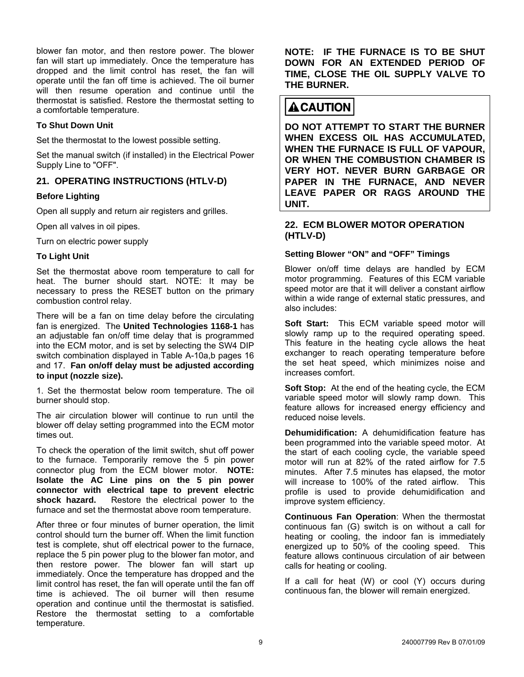blower fan motor, and then restore power. The blower fan will start up immediately. Once the temperature has dropped and the limit control has reset, the fan will operate until the fan off time is achieved. The oil burner will then resume operation and continue until the thermostat is satisfied. Restore the thermostat setting to a comfortable temperature.

#### **To Shut Down Unit**

Set the thermostat to the lowest possible setting.

Set the manual switch (if installed) in the Electrical Power Supply Line to "OFF".

#### **21. OPERATING INSTRUCTIONS (HTLV-D)**

#### **Before Lighting**

Open all supply and return air registers and grilles.

Open all valves in oil pipes.

Turn on electric power supply

Set the thermostat above room temperature to call for heat. The burner should start. NOTE: It may be necessary to press the RESET button on the primary combustion control relay.

There will be a fan on time delay before the circulating fan is energized. The **United Technologies 1168-1** has an adjustable fan on/off time delay that is programmed into the ECM motor, and is set by selecting the SW4 DIP switch combination displayed in Table A-10a,b pages 16 and 17. **Fan on/off delay must be adjusted according to input (nozzle size).**

1. Set the thermostat below room temperature. The oil burner should stop.

The air circulation blower will continue to run until the blower off delay setting programmed into the ECM motor times out. **Dehumidification:** A dehumidification feature has

To check the operation of the limit switch, shut off power to the furnace. Temporarily remove the 5 pin power connector plug from the ECM blower motor. **NOTE: Isolate the AC Line pins on the 5 pin power connector with electrical tape to prevent electric shock hazard.** Restore the electrical power to the furnace and set the thermostat above room temperature. **Continuous Fan Operation**: When the thermostat

After three or four minutes of burner operation, the limit control should turn the burner off. When the limit function test is complete, shut off electrical power to the furnace, replace the 5 pin power plug to the blower fan motor, and then restore power. The blower fan will start up immediately. Once the temperature has dropped and the limit control has reset, the fan will operate until the fan off time is achieved. The oil burner will then resume operation and continue until the thermostat is satisfied. Restore the thermostat setting to a comfortable temperature.

**NOTE: IF THE FURNACE IS TO BE SHUT DOWN FOR AN EXTENDED PERIOD OF TIME, CLOSE THE OIL SUPPLY VALVE TO THE BURNER.** 

## **ACAUTION**

**DO NOT ATTEMPT TO START THE BURNER WHEN EXCESS OIL HAS ACCUMULATED, WHEN THE FURNACE IS FULL OF VAPOUR, OR WHEN THE COMBUSTION CHAMBER IS VERY HOT. NEVER BURN GARBAGE OR PAPER IN THE FURNACE, AND NEVER LEAVE PAPER OR RAGS AROUND THE UNIT.** 

#### **22. ECM BLOWER MOTOR OPERATION (HTLV-D)**

#### To Light Unit **The Light Unit Setting Blower "ON"** and "OFF" Timings

Blower on/off time delays are handled by ECM motor programming. Features of this ECM variable speed motor are that it will deliver a constant airflow within a wide range of external static pressures, and also includes:

**Soft Start:** This ECM variable speed motor will slowly ramp up to the required operating speed. This feature in the heating cycle allows the heat exchanger to reach operating temperature before the set heat speed, which minimizes noise and increases comfort.

**Soft Stop:** At the end of the heating cycle, the ECM variable speed motor will slowly ramp down. This feature allows for increased energy efficiency and reduced noise levels.

been programmed into the variable speed motor. At the start of each cooling cycle, the variable speed motor will run at 82% of the rated airflow for 7.5 minutes. After 7.5 minutes has elapsed, the motor will increase to 100% of the rated airflow. This profile is used to provide dehumidification and improve system efficiency.

continuous fan (G) switch is on without a call for heating or cooling, the indoor fan is immediately energized up to 50% of the cooling speed. This feature allows continuous circulation of air between calls for heating or cooling.

If a call for heat (W) or cool (Y) occurs during continuous fan, the blower will remain energized.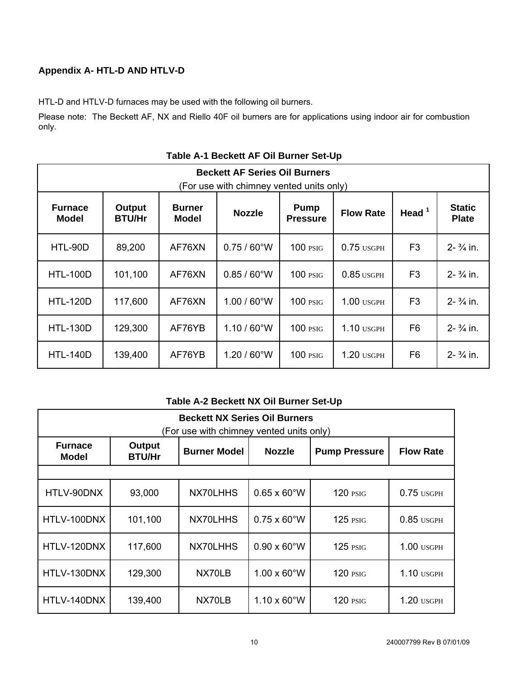#### <span id="page-9-0"></span>**Appendix A- HTL-D AND HTLV-D**

HTL-D and HTLV-D furnaces may be used with the following oil burners.

Please note: The Beckett AF, NX and Riello 40F oil burners are for applications using indoor air for combustion only.

| <b>Beckett AF Series Oil Burners</b><br>(For use with chimney vented units only) |                         |                               |                       |                                |                  |                |                               |  |  |  |  |
|----------------------------------------------------------------------------------|-------------------------|-------------------------------|-----------------------|--------------------------------|------------------|----------------|-------------------------------|--|--|--|--|
| <b>Furnace</b><br><b>Model</b>                                                   | Output<br><b>BTU/Hr</b> | <b>Burner</b><br><b>Model</b> | <b>Nozzle</b>         | <b>Pump</b><br><b>Pressure</b> | <b>Flow Rate</b> | Head $1$       | <b>Static</b><br><b>Plate</b> |  |  |  |  |
| HTL-90D                                                                          | 89,200                  | AF76XN                        | $0.75/60^{\circ}$ W   | $100$ $PSIG$                   | $0.75$ USGPH     | F <sub>3</sub> | $2 - \frac{3}{4}$ in.         |  |  |  |  |
| <b>HTL-100D</b>                                                                  | 101,100                 | AF76XN                        | $0.85 / 60^{\circ}$ W | $100$ $PSTG$                   | $0.85$ USGPH     | F <sub>3</sub> | $2 - \frac{3}{4}$ in.         |  |  |  |  |
| <b>HTL-120D</b>                                                                  | 117,600                 | AF76XN                        | $1.00 / 60^{\circ}$ W | $100$ $PSTG$                   | $1.00$ usgph     | F <sub>3</sub> | $2 - \frac{3}{4}$ in.         |  |  |  |  |
| <b>HTL-130D</b>                                                                  | 129,300                 | AF76YB                        | $1.10 / 60^{\circ}$ W | $100$ $PSTG$                   | $1.10$ USGPH     | F <sub>6</sub> | $2 - \frac{3}{4}$ in.         |  |  |  |  |
| <b>HTL-140D</b>                                                                  | 139,400                 | AF76YB                        | $1.20 / 60^{\circ}$ W | 100 <sub>PSIG</sub>            | $1.20$ usgph     | F <sub>6</sub> | $2 - \frac{3}{4}$ in.         |  |  |  |  |

**Table A-1 Beckett AF Oil Burner Set-Up**

#### **Table A-2 Beckett NX Oil Burner Set-Up**

| <b>Beckett NX Series Oil Burners</b><br>(For use with chimney vented units only) |                         |                                      |                            |                      |                  |  |  |  |  |  |  |
|----------------------------------------------------------------------------------|-------------------------|--------------------------------------|----------------------------|----------------------|------------------|--|--|--|--|--|--|
| <b>Furnace</b><br><b>Model</b>                                                   | Output<br><b>BTU/Hr</b> | <b>Burner Model</b><br><b>Nozzle</b> |                            | <b>Pump Pressure</b> | <b>Flow Rate</b> |  |  |  |  |  |  |
|                                                                                  |                         |                                      |                            |                      |                  |  |  |  |  |  |  |
| HTLV-90DNX                                                                       | 93,000                  | NX70LHHS                             | $0.65 \times 60$ °W        | $120$ $PSIG$         | $0.75$ USGPH     |  |  |  |  |  |  |
| HTLV-100DNX                                                                      | 101,100                 | NX70LHHS                             | $0.75 \times 60^{\circ}$ W | $125$ $PSIG$         | $0.85$ USGPH     |  |  |  |  |  |  |
| HTLV-120DNX                                                                      | 117,600                 | NX70LHHS                             | $0.90 \times 60$ °W        | $125$ $PSIG$         | $1.00$ usgph     |  |  |  |  |  |  |
| HTLV-130DNX                                                                      | 129,300                 | NX70LB                               | $1.00 \times 60$ °W        | <b>120 PSIG</b>      | $1.10$ USGPH     |  |  |  |  |  |  |
| HTLV-140DNX                                                                      | 139,400                 | NX70LB                               | $1.10 \times 60$ °W        | $120$ $PSIG$         | $1.20$ usgph     |  |  |  |  |  |  |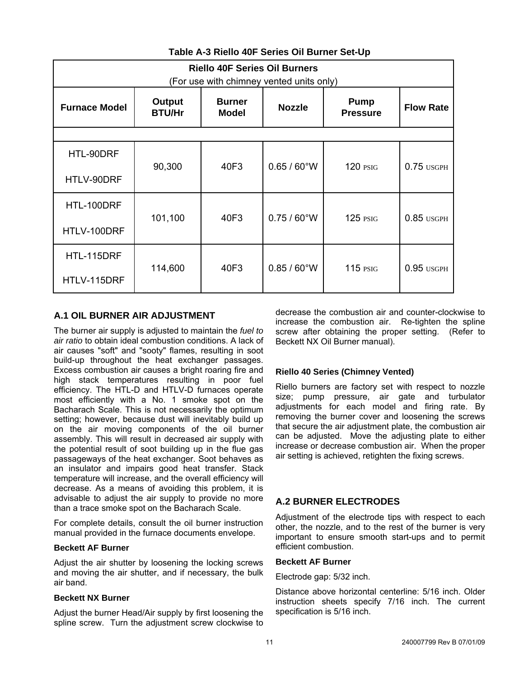<span id="page-10-0"></span>

| <b>Riello 40F Series Oil Burners</b><br>(For use with chimney vented units only) |                         |                                                |                       |                                |                  |  |  |  |  |  |
|----------------------------------------------------------------------------------|-------------------------|------------------------------------------------|-----------------------|--------------------------------|------------------|--|--|--|--|--|
| <b>Furnace Model</b>                                                             | Output<br><b>BTU/Hr</b> | <b>Burner</b><br><b>Nozzle</b><br><b>Model</b> |                       | <b>Pump</b><br><b>Pressure</b> | <b>Flow Rate</b> |  |  |  |  |  |
|                                                                                  |                         |                                                |                       |                                |                  |  |  |  |  |  |
| HTL-90DRF                                                                        | 90,300                  | 40F3                                           | $0.65 / 60^{\circ}$ W | <b>120 PSIG</b>                | $0.75$ USGPH     |  |  |  |  |  |
| HTLV-90DRF                                                                       |                         |                                                |                       |                                |                  |  |  |  |  |  |
| HTL-100DRF                                                                       | 101,100                 | 40F3                                           | $0.75/60^{\circ}$ W   | $125$ $PSIG$                   |                  |  |  |  |  |  |
| HTLV-100DRF                                                                      |                         |                                                |                       |                                | $0.85$ USGPH     |  |  |  |  |  |
| HTL-115DRF                                                                       | 114,600                 | 40F3                                           | $0.85 / 60^{\circ}$ W | $115$ $PSIG$                   | $0.95$ usgph     |  |  |  |  |  |
| HTLV-115DRF                                                                      |                         |                                                |                       |                                |                  |  |  |  |  |  |

#### **Table A-3 Riello 40F Series Oil Burner Set-Up**

#### **A.1 OIL BURNER AIR ADJUSTMENT**

The burner air supply is adjusted to maintain the *fuel to air ratio* to obtain ideal combustion conditions. A lack of air causes "soft" and "sooty" flames, resulting in soot build-up throughout the heat exchanger passages. Excess combustion air causes a bright roaring fire and high stack temperatures resulting in poor fuel efficiency. The HTL-D and HTLV-D furnaces operate most efficiently with a No. 1 smoke spot on the Bacharach Scale. This is not necessarily the optimum setting; however, because dust will inevitably build up on the air moving components of the oil burner assembly. This will result in decreased air supply with the potential result of soot building up in the flue gas passageways of the heat exchanger. Soot behaves as an insulator and impairs good heat transfer. Stack temperature will increase, and the overall efficiency will decrease. As a means of avoiding this problem, it is advisable to adjust the air supply to provide no more than a trace smoke spot on the Bacharach Scale.

For complete details, consult the oil burner instruction manual provided in the furnace documents envelope.

#### **Beckett AF Burner**

Adjust the air shutter by loosening the locking screws and moving the air shutter, and if necessary, the bulk air band.

#### **Beckett NX Burner**

Adjust the burner Head/Air supply by first loosening the spline screw. Turn the adjustment screw clockwise to decrease the combustion air and counter-clockwise to increase the combustion air. Re-tighten the spline screw after obtaining the proper setting. (Refer to Beckett NX Oil Burner manual).

#### **Riello 40 Series (Chimney Vented)**

Riello burners are factory set with respect to nozzle size; pump pressure, air gate and turbulator adjustments for each model and firing rate. By removing the burner cover and loosening the screws that secure the air adjustment plate, the combustion air can be adjusted. Move the adjusting plate to either increase or decrease combustion air. When the proper air setting is achieved, retighten the fixing screws.

#### **A.2 BURNER ELECTRODES**

Adjustment of the electrode tips with respect to each other, the nozzle, and to the rest of the burner is very important to ensure smooth start-ups and to permit efficient combustion.

#### **Beckett AF Burner**

Electrode gap: 5/32 inch.

Distance above horizontal centerline: 5/16 inch. Older instruction sheets specify 7/16 inch. The current specification is 5/16 inch.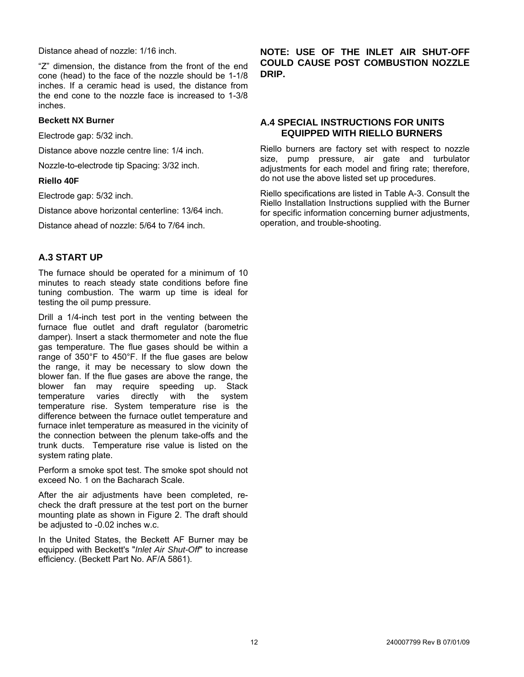<span id="page-11-0"></span>Distance ahead of nozzle: 1/16 inch.

"Z" dimension, the distance from the front of the end cone (head) to the face of the nozzle should be 1-1/8 inches. If a ceramic head is used, the distance from the end cone to the nozzle face is increased to 1-3/8 inches.

#### **Beckett NX Burner**

Electrode gap: 5/32 inch.

Distance above nozzle centre line: 1/4 inch.

Nozzle-to-electrode tip Spacing: 3/32 inch.

#### **Riello 40F**

Electrode gap: 5/32 inch.

Distance above horizontal centerline: 13/64 inch.

Distance ahead of nozzle: 5/64 to 7/64 inch.

#### **A.3 START UP**

The furnace should be operated for a minimum of 10 minutes to reach steady state conditions before fine tuning combustion. The warm up time is ideal for testing the oil pump pressure.

Drill a 1/4-inch test port in the venting between the furnace flue outlet and draft regulator (barometric damper). Insert a stack thermometer and note the flue gas temperature. The flue gases should be within a range of 350°F to 450°F. If the flue gases are below the range, it may be necessary to slow down the blower fan. If the flue gases are above the range, the blower fan may require speeding up. Stack temperature varies directly with the system temperature rise. System temperature rise is the difference between the furnace outlet temperature and furnace inlet temperature as measured in the vicinity of the connection between the plenum take-offs and the trunk ducts. Temperature rise value is listed on the system rating plate.

Perform a smoke spot test. The smoke spot should not exceed No. 1 on the Bacharach Scale.

After the air adjustments have been completed, recheck the draft pressure at the test port on the burner mounting plate as shown in Figure 2. The draft should be adjusted to -0.02 inches w.c.

In the United States, the Beckett AF Burner may be equipped with Beckett's "*Inlet Air Shut-Off*" to increase efficiency. (Beckett Part No. AF/A 5861).

#### **NOTE: USE OF THE INLET AIR SHUT-OFF COULD CAUSE POST COMBUSTION NOZZLE DRIP.**

#### **A.4 SPECIAL INSTRUCTIONS FOR UNITS EQUIPPED WITH RIELLO BURNERS**

Riello burners are factory set with respect to nozzle size, pump pressure, air gate and turbulator adjustments for each model and firing rate; therefore, do not use the above listed set up procedures.

Riello specifications are listed in Table A-3. Consult the Riello Installation Instructions supplied with the Burner for specific information concerning burner adjustments, operation, and trouble-shooting.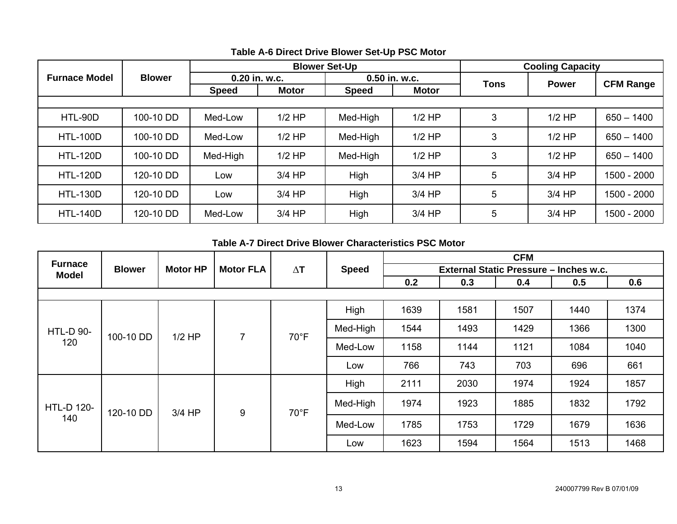|                      |               |              |               | <b>Blower Set-Up</b> | <b>Cooling Capacity</b> |             |              |                  |
|----------------------|---------------|--------------|---------------|----------------------|-------------------------|-------------|--------------|------------------|
| <b>Furnace Model</b> | <b>Blower</b> |              | 0.20 in. w.c. |                      | $0.50$ in. w.c.         |             | <b>Power</b> | <b>CFM Range</b> |
|                      |               | <b>Speed</b> | <b>Motor</b>  | <b>Speed</b>         | <b>Motor</b>            | <b>Tons</b> |              |                  |
|                      |               |              |               |                      |                         |             |              |                  |
| HTL-90D              | 100-10 DD     | Med-Low      | $1/2$ HP      | Med-High             | $1/2$ HP                | 3           | $1/2$ HP     | $650 - 1400$     |
| <b>HTL-100D</b>      | 100-10 DD     | Med-Low      | $1/2$ HP      | Med-High             | $1/2$ HP                | 3           | $1/2$ HP     | $650 - 1400$     |
| <b>HTL-120D</b>      | 100-10 DD     | Med-High     | $1/2$ HP      | Med-High             | $1/2$ HP                | 3           | $1/2$ HP     | $650 - 1400$     |
| <b>HTL-120D</b>      | 120-10 DD     | Low          | 3/4 HP        | High                 | $3/4$ HP                | 5           | $3/4$ HP     | 1500 - 2000      |
| <b>HTL-130D</b>      | 120-10 DD     | Low          | $3/4$ HP      | High                 | $3/4$ HP                | 5           | $3/4$ HP     | 1500 - 2000      |
| <b>HTL-140D</b>      | 120-10 DD     | Med-Low      | $3/4$ HP      | High                 | $3/4$ HP                | 5           | $3/4$ HP     | 1500 - 2000      |

#### **Table A-6 Direct Drive Blower Set-Up PSC Motor**

#### **Table A-7 Direct Drive Blower Characteristics PSC Motor**

|                                |               |                 |                  |                |              |                                        |      |      |      |      | <b>CFM</b> |      |      |  |         |      |      |      |      |      |  |  |  |  |  |  |  |  |  |  |  |  |                |  |         |      |      |      |      |      |
|--------------------------------|---------------|-----------------|------------------|----------------|--------------|----------------------------------------|------|------|------|------|------------|------|------|--|---------|------|------|------|------|------|--|--|--|--|--|--|--|--|--|--|--|--|----------------|--|---------|------|------|------|------|------|
| <b>Furnace</b><br><b>Model</b> | <b>Blower</b> | <b>Motor HP</b> | <b>Motor FLA</b> | $\Delta T$     | <b>Speed</b> | External Static Pressure - Inches w.c. |      |      |      |      |            |      |      |  |         |      |      |      |      |      |  |  |  |  |  |  |  |  |  |  |  |  |                |  |         |      |      |      |      |      |
|                                |               |                 |                  |                |              | 0.2                                    | 0.3  | 0.4  | 0.5  | 0.6  |            |      |      |  |         |      |      |      |      |      |  |  |  |  |  |  |  |  |  |  |  |  |                |  |         |      |      |      |      |      |
|                                |               |                 |                  |                |              |                                        |      |      |      |      |            |      |      |  |         |      |      |      |      |      |  |  |  |  |  |  |  |  |  |  |  |  |                |  |         |      |      |      |      |      |
| <b>HTL-D 90-</b><br>120        |               |                 |                  |                | High         | 1639                                   | 1581 | 1507 | 1440 | 1374 |            |      |      |  |         |      |      |      |      |      |  |  |  |  |  |  |  |  |  |  |  |  |                |  |         |      |      |      |      |      |
|                                | 100-10 DD     | $1/2$ HP        | $\overline{7}$   | $70^{\circ}$ F |              | Med-High                               | 1544 | 1493 | 1429 | 1366 | 1300       |      |      |  |         |      |      |      |      |      |  |  |  |  |  |  |  |  |  |  |  |  |                |  |         |      |      |      |      |      |
|                                |               |                 |                  |                |              |                                        |      |      |      |      |            |      |      |  | Med-Low | 1158 | 1144 | 1121 | 1084 | 1040 |  |  |  |  |  |  |  |  |  |  |  |  |                |  |         |      |      |      |      |      |
|                                |               |                 |                  |                | Low          | 766                                    | 743  | 703  | 696  | 661  |            |      |      |  |         |      |      |      |      |      |  |  |  |  |  |  |  |  |  |  |  |  |                |  |         |      |      |      |      |      |
|                                |               | 3/4 HP          | 9                |                |              |                                        |      | High | 2111 | 2030 | 1974       | 1924 | 1857 |  |         |      |      |      |      |      |  |  |  |  |  |  |  |  |  |  |  |  |                |  |         |      |      |      |      |      |
| <b>HTL-D 120-</b>              | 120-10 DD     |                 |                  |                |              | Med-High                               | 1974 | 1923 | 1885 | 1832 | 1792       |      |      |  |         |      |      |      |      |      |  |  |  |  |  |  |  |  |  |  |  |  |                |  |         |      |      |      |      |      |
| 140                            |               |                 |                  |                |              |                                        |      |      |      |      |            |      |      |  |         |      |      |      |      |      |  |  |  |  |  |  |  |  |  |  |  |  | $70^{\circ}$ F |  | Med-Low | 1785 | 1753 | 1729 | 1679 | 1636 |
|                                |               |                 |                  |                |              |                                        | Low  | 1623 | 1594 | 1564 | 1513       | 1468 |      |  |         |      |      |      |      |      |  |  |  |  |  |  |  |  |  |  |  |  |                |  |         |      |      |      |      |      |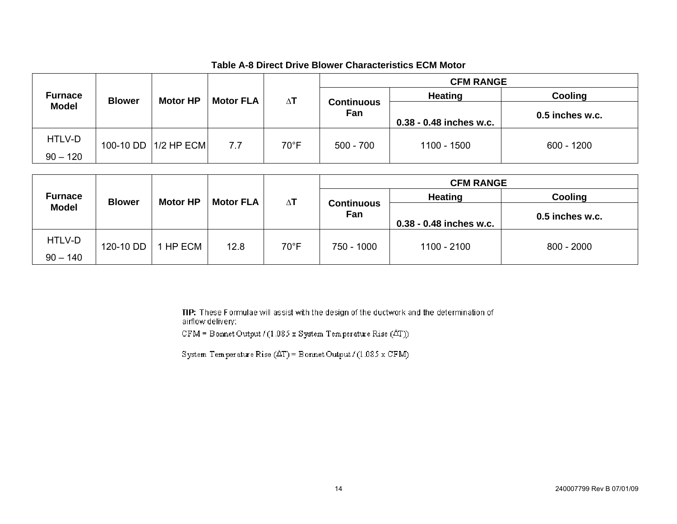#### **Table A-8 Direct Drive Blower Characteristics ECM Motor**

|                |               |                        |                  |                |                          | <b>CFM RANGE</b>        |                   |                |
|----------------|---------------|------------------------|------------------|----------------|--------------------------|-------------------------|-------------------|----------------|
| <b>Furnace</b> | <b>Blower</b> | <b>Motor HP</b>        | <b>Motor FLA</b> |                | $\Delta T$               |                         | <b>Heating</b>    | <b>Cooling</b> |
| <b>Model</b>   |               |                        |                  |                | <b>Continuous</b><br>Fan |                         | $0.5$ inches w.c. |                |
|                |               |                        |                  |                |                          | 0.38 - 0.48 inches w.c. |                   |                |
| HTLV-D         |               | 100-10 DD   1/2 HP ECM | 7.7              | $70^{\circ}$ F | $500 - 700$              | 1100 - 1500             | $600 - 1200$      |                |
| $90 - 120$     |               |                        |                  |                |                          |                         |                   |                |

|                |               |                 |      |                          |                  | <b>CFM RANGE</b>        |                 |  |         |         |
|----------------|---------------|-----------------|------|--------------------------|------------------|-------------------------|-----------------|--|---------|---------|
| <b>Furnace</b> | <b>Blower</b> | <b>Motor HP</b> |      |                          | <b>Motor FLA</b> |                         | $\Delta T$      |  | Heating | Cooling |
| <b>Model</b>   |               |                 |      | <b>Continuous</b><br>Fan |                  |                         | 0.5 inches w.c. |  |         |         |
|                |               |                 |      |                          |                  | 0.38 - 0.48 inches w.c. |                 |  |         |         |
| HTLV-D         | 120-10 DD     | HP ECM          | 12.8 | $70^{\circ}$ F           | 750 - 1000       | 1100 - 2100             | $800 - 2000$    |  |         |         |
| $90 - 140$     |               |                 |      |                          |                  |                         |                 |  |         |         |

TIP: These Formulae will assist with the design of the ductwork and the determination of airflow delivery:

CFM = Bornet Output / (1.085 x System Temperature Rise  $(\Delta T)$ )

System Temperature Rise  $(\Delta T)$  = Bonnet Output / (1.085 x CFM)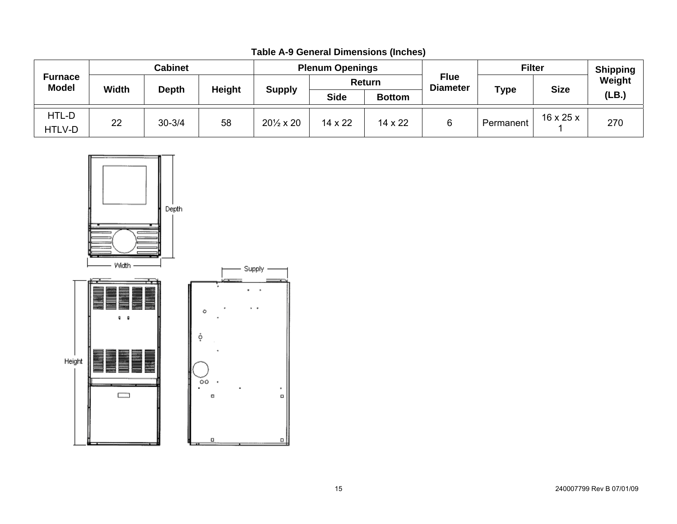| <b>Furnace</b><br><b>Model</b> | <b>Cabinet</b> |            |               | <b>Plenum Openings</b>    |             |                |                                | <b>Filter</b> |                       | <b>Shipping</b> |
|--------------------------------|----------------|------------|---------------|---------------------------|-------------|----------------|--------------------------------|---------------|-----------------------|-----------------|
|                                | <b>Width</b>   | Depth      | <b>Height</b> | <b>Supply</b>             | Return      |                | <b>Flue</b><br><b>Diameter</b> |               | <b>Size</b>           | Weight          |
|                                |                |            |               |                           | <b>Side</b> | <b>Bottom</b>  |                                | <b>Type</b>   |                       | (LB.)           |
| HTL-D<br>HTLV-D                | 22             | $30 - 3/4$ | 58            | $20\frac{1}{2} \times 20$ | 14 x 22     | $14 \times 22$ |                                | Permanent     | $16 \times 25 \times$ | 270             |

**Table A-9 General Dimensions (Inches)**

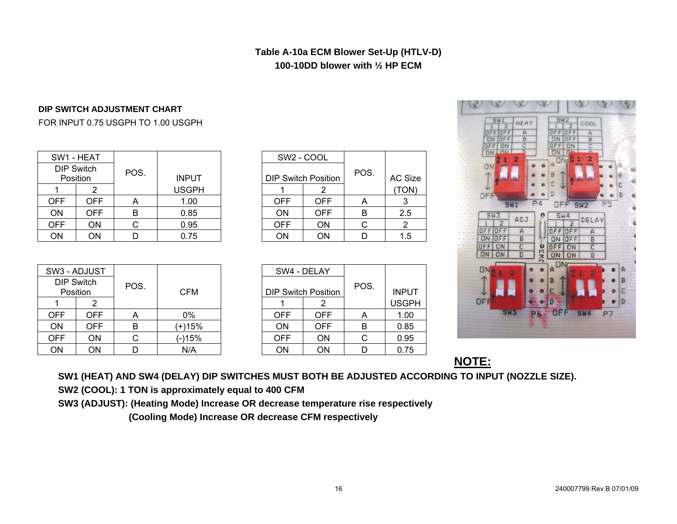#### **Table A-10a ECM Blower Set-Up (HTLV-D) 100-10DD blower with ½ HP ECM**

#### **DIP SWITCH ADJUSTMENT CHART**

#### FOR INPUT 0.75 USGPH TO 1.00 USGPH

| SW1 - HEAT |                               |      |              |            | SW <sub>2</sub> - COOL     |      |            |
|------------|-------------------------------|------|--------------|------------|----------------------------|------|------------|
|            | <b>DIP Switch</b><br>Position | POS. | <b>INPUT</b> |            | <b>DIP Switch Position</b> | POS. | AC Siz     |
|            |                               |      | <b>USGPH</b> |            |                            |      | <b>TON</b> |
| <b>OFF</b> | OFF                           | Α    | 1.00         | <b>OFF</b> | <b>OFF</b>                 | A    | 3          |
| ON         | OFF.                          | B    | 0.85         | <b>ON</b>  | <b>OFF</b>                 | B    | 2.5        |
| <b>OFF</b> | ON                            |      | 0.95         | <b>OFF</b> | <b>ON</b>                  |      |            |
| ΟN         | ON                            |      | 0.75         | ON         | <b>ON</b>                  |      | 1.5        |

|              |                            | SW2 - COOL |      |         |
|--------------|----------------------------|------------|------|---------|
| <b>INPUT</b> | <b>DIP Switch Position</b> |            | POS. | AC Size |
| USGPH        |                            |            |      | TON)    |
| 1.00         | <b>OFF</b>                 | <b>OFF</b> | Α    |         |
| 0.85         | ΟN                         | OFF        | В    | 2.5     |
| 0.95         | <b>OFF</b>                 | ΟN         | С    |         |
| 0.75         | ЭN                         | OΝ         |      | 1.5     |

| UM<br>ON<br>OFF<br>ON<br>N<br>a<br>ON                                              | ä<br>2                                       | 211<br>ur<br>o<br>$\overline{c}$<br>OFF<br>ON<br>ON<br>2<br><b>ON<sub>I</sub>N</b><br>A<br>B                                                             | ₿           |
|------------------------------------------------------------------------------------|----------------------------------------------|----------------------------------------------------------------------------------------------------------------------------------------------------------|-------------|
| OFF                                                                                |                                              | D                                                                                                                                                        | D           |
|                                                                                    | P4<br><b>SW1</b>                             | OFF<br>SW2                                                                                                                                               | Р5          |
| <b>SW3</b><br>2<br>OFF OFF<br>OFF<br>ON<br>OFF<br>ON<br>ON<br>ON<br>ON<br>ę<br>OFF | ADJ<br>A<br>B<br>C<br>JW3e<br>$\overline{D}$ | SW4<br>DELAY<br>$\overline{2}$<br>OFF<br>OFF<br>$\bigwedge$<br>$\frac{B}{C}$<br>ON<br>F<br>OF<br>OF<br>ON<br>F<br>D<br>ON<br>ΠN<br>A<br>ñ<br>B<br>с<br>D | А<br>B<br>D |

HEAT

COOL

|            | SW3 - ADJUST                  |      |            |            | SW4 - DELAY                |      |              |
|------------|-------------------------------|------|------------|------------|----------------------------|------|--------------|
|            | <b>DIP Switch</b><br>Position | POS. | <b>CFM</b> |            | <b>DIP Switch Position</b> | POS. | <b>INPUT</b> |
|            |                               |      |            |            |                            |      | <b>USGPI</b> |
| <b>OFF</b> | OFF                           | Α    | 0%         | <b>OFF</b> | <b>OFF</b>                 | A    | 1.00         |
| ON         | OFF                           | B    | (+)15%     | ON         | <b>OFF</b>                 | В    | 0.85         |
| <b>OFF</b> | ΟN                            | С    | (-)15%     | <b>OFF</b> | ON                         | С    | 0.95         |
| ON         | ΟN                            |      | N/A        | ON         | ON                         |      | 0.75         |

|            | SW4 - DELAY                |      |              |
|------------|----------------------------|------|--------------|
|            | <b>DIP Switch Position</b> | POS. | <b>INPUT</b> |
|            | 2                          |      | <b>USGPH</b> |
| OFF        | <b>OFF</b>                 | А    | 1.00         |
| ON         | <b>OFF</b>                 | В    | 0.85         |
| <b>OFF</b> | ΟN                         | C    | 0.95         |
| ΩN         | ωN                         |      | 0.75         |

**NOTE:**

**SW1 (HEAT) AND SW4 (DELAY) DIP SWITCHES MUST BOTH BE ADJUSTED ACCORDING TO INPUT (NOZZLE SIZE).** 

**SW2 (COOL): 1 TON is approximately equal to 400 CFM** 

**SW3 (ADJUST): (Heating Mode) Increase OR decrease temperature rise respectively** 

 **(Cooling Mode) Increase OR decrease CFM respectively**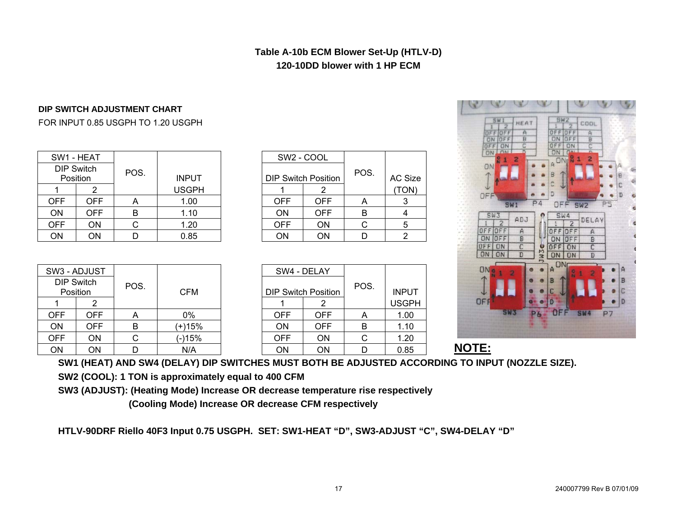#### **Table A-10b ECM Blower Set-Up (HTLV-D) 120-10DD blower with 1 HP ECM**

#### **DIP SWITCH ADJUSTMENT CHART**

#### FOR INPUT 0.85 USGPH TO 1.20 USGPH

| SW1 - HEAT |                               |      |              |            | SW2 - COOL                 |      |                 |
|------------|-------------------------------|------|--------------|------------|----------------------------|------|-----------------|
|            | <b>DIP Switch</b><br>Position | POS. | <b>INPUT</b> |            | <b>DIP Switch Position</b> | POS. | AC <sub>S</sub> |
|            |                               |      | <b>USGPH</b> |            |                            |      | <b>TOI</b>      |
| OFF        | OFF                           | А    | 1.00         | <b>OFF</b> | <b>OFF</b>                 | А    | 3               |
| <b>ON</b>  | OFF                           | в    | 1.10         | <b>ON</b>  | <b>OFF</b>                 | B    | 4               |
| <b>OFF</b> | ΟN                            |      | 1.20         | <b>OFF</b> | <b>ON</b>                  |      | 5               |
| ΟN         | ON                            |      | 0.85         | ΟN         | ΟN                         |      | $\overline{2}$  |

|              |                            | SW <sub>2</sub> - COOL |      |         |
|--------------|----------------------------|------------------------|------|---------|
| <b>INPUT</b> | <b>DIP Switch Position</b> |                        | POS. | AC Size |
| USGPH        |                            |                        |      | TON)    |
| 1.00         | <b>OFF</b>                 | <b>OFF</b>             | A    |         |
| 1.10         | ON                         | <b>OFF</b>             | В    |         |
| 1.20         | <b>OFF</b>                 | ΟN                     |      | 5       |
| 0.85         | ۱۷۰ .                      | .NC                    |      |         |

| <b>SWI</b><br>HEAT<br>$\overline{A}$<br>OFF<br>OFF<br>$rac{1}{2}$<br>OFF<br>ON<br>ON<br>OFF<br>ON<br>ON<br>1<br>N<br>$\overline{\mathbf{z}}$<br>ON<br>OFF          | SW2<br>COOL<br>OFF<br>OFF<br>口回り<br><b>ON</b><br>OFF<br>OFF<br>ON<br>ON<br><b>CAN</b><br>2<br>A ON <sub>I</sub> N<br>1<br>B<br>B<br>c<br>C<br>D<br>D<br>ö<br>4<br>P                                                                                     |
|--------------------------------------------------------------------------------------------------------------------------------------------------------------------|---------------------------------------------------------------------------------------------------------------------------------------------------------------------------------------------------------------------------------------------------------|
| <b>SW1</b><br>SW3<br>ADJ<br>$\overline{2}$<br>OFF<br>OFF<br>$\overline{A}$<br>OFF<br>B<br>ON<br>OFF<br>C<br>ON<br>ON<br>D<br>ON<br>ON<br>2<br>읇<br>1<br>OFF<br>sws | P <sub>5</sub><br>OFF<br>SW <sub>2</sub><br>ë<br>SW4<br>DELAY<br>$\overline{2}$<br>¢<br>OFF<br>A<br>n<br>¢<br>B<br>OFF<br>ON<br>JWJe<br>Ċ<br>OFF<br>ON<br>D<br><b>ON</b><br>ON<br>ON<br>A<br>А<br>20<br>2<br>1<br>B<br>B<br>C<br>с<br>D<br>Đ<br>P7<br>6 |

 $\mathcal{L}$ 

B B B

|     | SW3 - ADJUST                  |      |            |            | SW4 - DELAY                |                |              |
|-----|-------------------------------|------|------------|------------|----------------------------|----------------|--------------|
|     | <b>DIP Switch</b><br>Position | POS. | <b>CFM</b> |            | <b>DIP Switch Position</b> | POS.           | <b>INPUT</b> |
|     |                               |      |            |            |                            |                |              |
|     |                               |      |            |            |                            |                | <b>USGPI</b> |
| OFF | OFF                           | A    | 0%         | <b>OFF</b> | <b>OFF</b>                 | $\overline{ }$ | 1.00         |
| ON  | OFF                           | в    | (+)15%     | ON         | <b>OFF</b>                 | B              | 1.10         |
| OFF | ΟN                            |      | (-)15%     | <b>OFF</b> | ON                         |                | 1.20         |
| ΩN  | ΩN                            |      | N/A        | ΩN         | ON                         |                | <u>በ ጸ5</u>  |

| W3 - ADJUST            |            |      |            | SW4 - DELAY |                            |      |              |  |
|------------------------|------------|------|------------|-------------|----------------------------|------|--------------|--|
| DIP Switch<br>Position |            | POS. | <b>CFM</b> |             | <b>DIP Switch Position</b> | POS. | <b>INPUT</b> |  |
|                        |            |      |            |             |                            |      | <b>USGPH</b> |  |
| <b>DFF</b>             | <b>OFF</b> | A    | $0\%$      | <b>OFF</b>  | <b>OFF</b>                 | Α    | 1.00         |  |
| OΝ                     | <b>OFF</b> | B    | (+)15%     | ON          | <b>OFF</b>                 | B    | 1.10         |  |
| <b>DFF</b>             | ΟN         |      | (-)15%     | <b>OFF</b>  | <b>ON</b>                  | C    | 1.20         |  |
| OΝ                     | ΟN         |      | N/A        | ΟN          | ON                         |      | 0.85         |  |

**NOTE:**

#### **SW1 (HEAT) AND SW4 (DELAY) DIP SWITCHES MUST BOTH BE ADJUSTED ACCORDING TO INPUT (NOZZLE SIZE).**

**SW2 (COOL): 1 TON is approximately equal to 400 CFM** 

**SW3 (ADJUST): (Heating Mode) Increase OR decrease temperature rise respectively** 

 **(Cooling Mode) Increase OR decrease CFM respectively** 

**HTLV-90DRF Riello 40F3 Input 0.75 USGPH. SET: SW1-HEAT "D", SW3-ADJUST "C", SW4-DELAY "D"**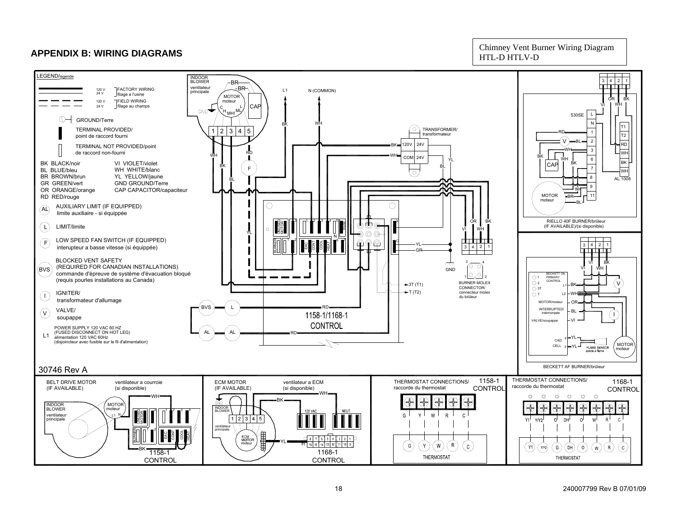#### **APPENDIX B: WIRING DIAGRAMS**

Chimney Vent Burner Wiring Diagram HTL-D HTLV-D

<span id="page-17-0"></span>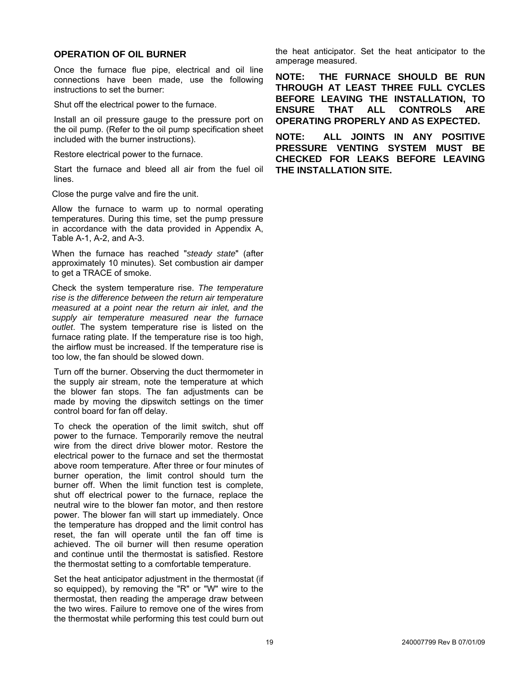#### <span id="page-18-0"></span>**OPERATION OF OIL BURNER**

Once the furnace flue pipe, electrical and oil line connections have been made, use the following instructions to set the burner:

Shut off the electrical power to the furnace.

Install an oil pressure gauge to the pressure port on the oil pump. (Refer to the oil pump specification sheet included with the burner instructions).

Restore electrical power to the furnace.

Start the furnace and bleed all air from the fuel oil lines.

Close the purge valve and fire the unit.

Allow the furnace to warm up to normal operating temperatures. During this time, set the pump pressure in accordance with the data provided in Appendix A, Table A-1, A-2, and A-3.

When the furnace has reached "*steady state*" (after approximately 10 minutes). Set combustion air damper to get a TRACE of smoke.

Check the system temperature rise. *The temperature rise is the difference between the return air temperature measured at a point near the return air inlet, and the supply air temperature measured near the furnace outlet*. The system temperature rise is listed on the furnace rating plate. If the temperature rise is too high, the airflow must be increased. If the temperature rise is too low, the fan should be slowed down.

Turn off the burner. Observing the duct thermometer in the supply air stream, note the temperature at which the blower fan stops. The fan adjustments can be made by moving the dipswitch settings on the timer control board for fan off delay.

To check the operation of the limit switch, shut off power to the furnace. Temporarily remove the neutral wire from the direct drive blower motor. Restore the electrical power to the furnace and set the thermostat above room temperature. After three or four minutes of burner operation, the limit control should turn the burner off. When the limit function test is complete, shut off electrical power to the furnace, replace the neutral wire to the blower fan motor, and then restore power. The blower fan will start up immediately. Once the temperature has dropped and the limit control has reset, the fan will operate until the fan off time is achieved. The oil burner will then resume operation and continue until the thermostat is satisfied. Restore the thermostat setting to a comfortable temperature.

Set the heat anticipator adjustment in the thermostat (if so equipped), by removing the "R" or "W" wire to the thermostat, then reading the amperage draw between the two wires. Failure to remove one of the wires from the thermostat while performing this test could burn out the heat anticipator. Set the heat anticipator to the amperage measured.

**NOTE: THE FURNACE SHOULD BE RUN THROUGH AT LEAST THREE FULL CYCLES BEFORE LEAVING THE INSTALLATION, TO ENSURE THAT ALL CONTROLS ARE OPERATING PROPERLY AND AS EXPECTED.** 

**NOTE: ALL JOINTS IN ANY POSITIVE PRESSURE VENTING SYSTEM MUST BE CHECKED FOR LEAKS BEFORE LEAVING THE INSTALLATION SITE.**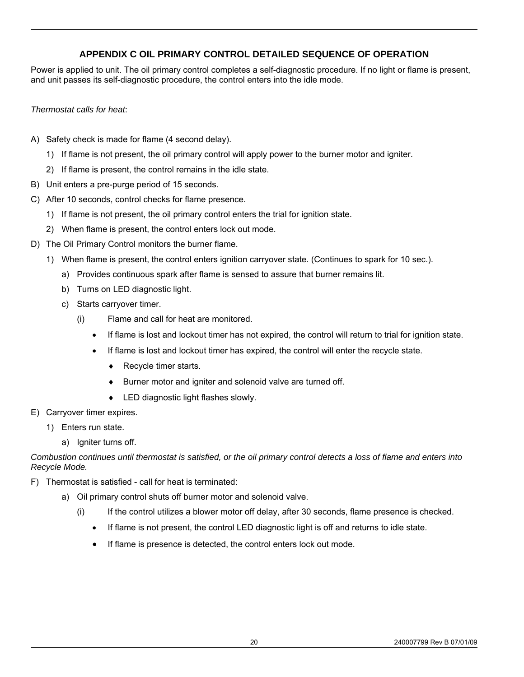#### **APPENDIX C OIL PRIMARY CONTROL DETAILED SEQUENCE OF OPERATION**

<span id="page-19-0"></span>Power is applied to unit. The oil primary control completes a self-diagnostic procedure. If no light or flame is present, and unit passes its self-diagnostic procedure, the control enters into the idle mode.

#### *Thermostat calls for heat*:

- A) Safety check is made for flame (4 second delay).
	- 1) If flame is not present, the oil primary control will apply power to the burner motor and igniter.
	- 2) If flame is present, the control remains in the idle state.
- B) Unit enters a pre-purge period of 15 seconds.
- C) After 10 seconds, control checks for flame presence.
	- 1) If flame is not present, the oil primary control enters the trial for ignition state.
	- 2) When flame is present, the control enters lock out mode.
- D) The Oil Primary Control monitors the burner flame.
	- 1) When flame is present, the control enters ignition carryover state. (Continues to spark for 10 sec.).
		- a) Provides continuous spark after flame is sensed to assure that burner remains lit.
		- b) Turns on LED diagnostic light.
		- c) Starts carryover timer.
			- (i) Flame and call for heat are monitored.
				- If flame is lost and lockout timer has not expired, the control will return to trial for ignition state.
				- If flame is lost and lockout timer has expired, the control will enter the recycle state.
					- ♦ Recycle timer starts.
					- ♦ Burner motor and igniter and solenoid valve are turned off.
					- ♦ LED diagnostic light flashes slowly.
- E) Carryover timer expires.
	- 1) Enters run state.
		- a) Igniter turns off.

*Combustion continues until thermostat is satisfied, or the oil primary control detects a loss of flame and enters into Recycle Mode.* 

- F) Thermostat is satisfied call for heat is terminated:
	- a) Oil primary control shuts off burner motor and solenoid valve.
		- (i) If the control utilizes a blower motor off delay, after 30 seconds, flame presence is checked.
			- If flame is not present, the control LED diagnostic light is off and returns to idle state.
			- If flame is presence is detected, the control enters lock out mode.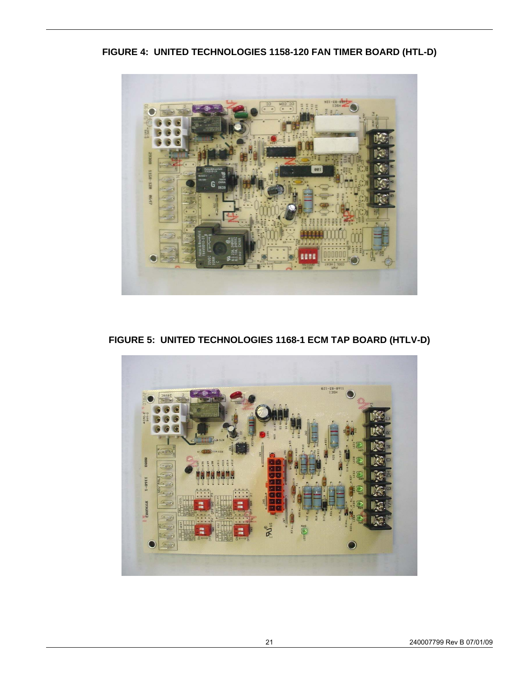**FIGURE 4: UNITED TECHNOLOGIES 1158-120 FAN TIMER BOARD (HTL-D)** 



**FIGURE 5: UNITED TECHNOLOGIES 1168-1 ECM TAP BOARD (HTLV-D)** 

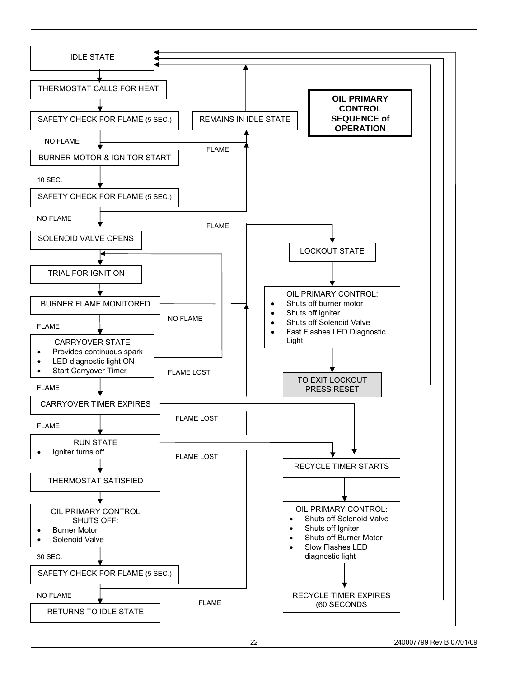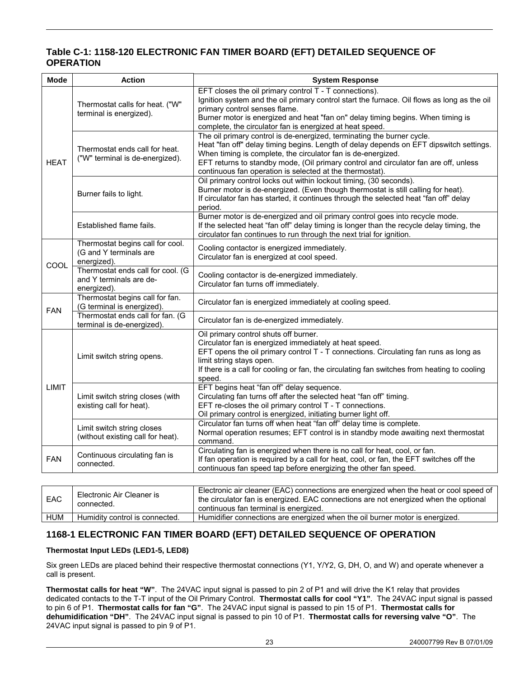#### **Table C-1: 1158-120 ELECTRONIC FAN TIMER BOARD (EFT) DETAILED SEQUENCE OF OPERATION**

| <b>Mode</b> | <b>Action</b>                                                               | <b>System Response</b>                                                                                                                                                                                                                                                                                                                                                               |
|-------------|-----------------------------------------------------------------------------|--------------------------------------------------------------------------------------------------------------------------------------------------------------------------------------------------------------------------------------------------------------------------------------------------------------------------------------------------------------------------------------|
|             | Thermostat calls for heat. ("W"<br>terminal is energized).                  | EFT closes the oil primary control T - T connections).<br>Ignition system and the oil primary control start the furnace. Oil flows as long as the oil<br>primary control senses flame.<br>Burner motor is energized and heat "fan on" delay timing begins. When timing is<br>complete, the circulator fan is energized at heat speed.                                                |
| <b>HEAT</b> | Thermostat ends call for heat.<br>("W" terminal is de-energized).           | The oil primary control is de-energized, terminating the burner cycle.<br>Heat "fan off" delay timing begins. Length of delay depends on EFT dipswitch settings.<br>When timing is complete, the circulator fan is de-energized.<br>EFT returns to standby mode, (Oil primary control and circulator fan are off, unless<br>continuous fan operation is selected at the thermostat). |
|             | Burner fails to light.                                                      | Oil primary control locks out within lockout timing, (30 seconds).<br>Burner motor is de-energized. (Even though thermostat is still calling for heat).<br>If circulator fan has started, it continues through the selected heat "fan off" delay<br>period.                                                                                                                          |
|             | Established flame fails.                                                    | Burner motor is de-energized and oil primary control goes into recycle mode.<br>If the selected heat "fan off" delay timing is longer than the recycle delay timing, the<br>circulator fan continues to run through the next trial for ignition.                                                                                                                                     |
| COOL        | Thermostat begins call for cool.<br>(G and Y terminals are<br>energized).   | Cooling contactor is energized immediately.<br>Circulator fan is energized at cool speed.                                                                                                                                                                                                                                                                                            |
|             | Thermostat ends call for cool. (G<br>and Y terminals are de-<br>energized). | Cooling contactor is de-energized immediately.<br>Circulator fan turns off immediately.                                                                                                                                                                                                                                                                                              |
| <b>FAN</b>  | Thermostat begins call for fan.<br>(G terminal is energized).               | Circulator fan is energized immediately at cooling speed.                                                                                                                                                                                                                                                                                                                            |
|             | Thermostat ends call for fan. (G<br>terminal is de-energized).              | Circulator fan is de-energized immediately.                                                                                                                                                                                                                                                                                                                                          |
|             | Limit switch string opens.                                                  | Oil primary control shuts off burner.<br>Circulator fan is energized immediately at heat speed.<br>EFT opens the oil primary control T - T connections. Circulating fan runs as long as<br>limit string stays open.<br>If there is a call for cooling or fan, the circulating fan switches from heating to cooling<br>speed.                                                         |
| LIMIT       | Limit switch string closes (with<br>existing call for heat).                | EFT begins heat "fan off" delay sequence.<br>Circulating fan turns off after the selected heat "fan off" timing.<br>EFT re-closes the oil primary control T - T connections.<br>Oil primary control is energized, initiating burner light off.                                                                                                                                       |
|             | Limit switch string closes<br>(without existing call for heat).             | Circulator fan turns off when heat "fan off" delay time is complete.<br>Normal operation resumes; EFT control is in standby mode awaiting next thermostat<br>command.                                                                                                                                                                                                                |
| <b>FAN</b>  | Continuous circulating fan is<br>connected.                                 | Circulating fan is energized when there is no call for heat, cool, or fan.<br>If fan operation is required by a call for heat, cool, or fan, the EFT switches off the<br>continuous fan speed tap before energizing the other fan speed.                                                                                                                                             |
|             |                                                                             |                                                                                                                                                                                                                                                                                                                                                                                      |
| EAC         | Electronic Air Cleaner is<br>connected.                                     | Electronic air cleaner (EAC) connections are energized when the heat or cool speed of<br>the circulator fan is energized. EAC connections are not energized when the optional<br>sativo con fourtemental in consuming                                                                                                                                                                |

|     | <u>uulilituste</u> u.                                 | terminal<br><sup>ा</sup> is eneraized.<br>tan<br>continuous                                                          |
|-----|-------------------------------------------------------|----------------------------------------------------------------------------------------------------------------------|
| HUM | ; connected.<br><b>Humidity</b><br>conti<br>IS.<br>OL | <br>. eneraized<br>motor<br>eneraized.<br>are<br>ourner<br>1S<br>when the<br>nıdıfıer<br>connections<br>OIL L<br>Hur |
|     |                                                       |                                                                                                                      |

#### **1168-1 ELECTRONIC FAN TIMER BOARD (EFT) DETAILED SEQUENCE OF OPERATION**

#### **Thermostat Input LEDs (LED1-5, LED8)**

Six green LEDs are placed behind their respective thermostat connections (Y1, Y/Y2, G, DH, O, and W) and operate whenever a call is present.

**Thermostat calls for heat "W"**. The 24VAC input signal is passed to pin 2 of P1 and will drive the K1 relay that provides dedicated contacts to the T-T input of the Oil Primary Control. **Thermostat calls for cool "Y1"**. The 24VAC input signal is passed to pin 6 of P1. **Thermostat calls for fan "G"**. The 24VAC input signal is passed to pin 15 of P1. **Thermostat calls for dehumidification "DH"**. The 24VAC input signal is passed to pin 10 of P1. **Thermostat calls for reversing valve "O"**. The 24VAC input signal is passed to pin 9 of P1.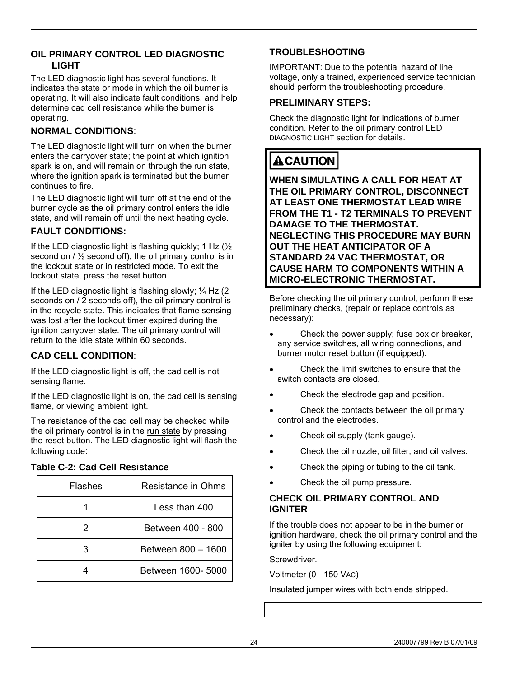#### <span id="page-23-0"></span>**OIL PRIMARY CONTROL LED DIAGNOSTIC LIGHT**

The LED diagnostic light has several functions. It indicates the state or mode in which the oil burner is operating. It will also indicate fault conditions, and help determine cad cell resistance while the burner is operating.

#### **NORMAL CONDITIONS**:

The LED diagnostic light will turn on when the burner enters the carryover state; the point at which ignition spark is on, and will remain on through the run state, where the ignition spark is terminated but the burner continues to fire.

The LED diagnostic light will turn off at the end of the burner cycle as the oil primary control enters the idle state, and will remain off until the next heating cycle.

#### **FAULT CONDITIONS:**

If the LED diagnostic light is flashing quickly; 1 Hz  $\frac{1}{2}$ second on / ½ second off), the oil primary control is in the lockout state or in restricted mode. To exit the lockout state, press the reset button.

If the LED diagnostic light is flashing slowly;  $\frac{1}{4}$  Hz (2) seconds on / 2 seconds off), the oil primary control is in the recycle state. This indicates that flame sensing was lost after the lockout timer expired during the ignition carryover state. The oil primary control will return to the idle state within 60 seconds.

#### **CAD CELL CONDITION**:

If the LED diagnostic light is off, the cad cell is not sensing flame.

If the LED diagnostic light is on, the cad cell is sensing flame, or viewing ambient light.

The resistance of the cad cell may be checked while the oil primary control is in the run state by pressing the reset button. The LED diagnostic light will flash the following code:

#### **Table C-2: Cad Cell Resistance**

| Flashes | Resistance in Ohms |
|---------|--------------------|
|         | Less than 400      |
|         | Between 400 - 800  |
|         | Between 800 - 1600 |
|         | Between 1600- 5000 |

#### **TROUBLESHOOTING**

IMPORTANT: Due to the potential hazard of line voltage, only a trained, experienced service technician should perform the troubleshooting procedure.

#### **PRELIMINARY STEPS:**

Check the diagnostic light for indications of burner condition. Refer to the oil primary control LED DIAGNOSTIC LIGHT section for details.

# **ACAUTION**

**WHEN SIMULATING A CALL FOR HEAT AT THE OIL PRIMARY CONTROL, DISCONNECT AT LEAST ONE THERMOSTAT LEAD WIRE FROM THE T1 - T2 TERMINALS TO PREVENT DAMAGE TO THE THERMOSTAT. NEGLECTING THIS PROCEDURE MAY BURN OUT THE HEAT ANTICIPATOR OF A STANDARD 24 VAC THERMOSTAT, OR CAUSE HARM TO COMPONENTS WITHIN A MICRO-ELECTRONIC THERMOSTAT.** 

Before checking the oil primary control, perform these preliminary checks, (repair or replace controls as necessary):

- Check the power supply; fuse box or breaker, any service switches, all wiring connections, and burner motor reset button (if equipped).
- Check the limit switches to ensure that the switch contacts are closed.
- Check the electrode gap and position.
- Check the contacts between the oil primary control and the electrodes.
- Check oil supply (tank gauge).
- Check the oil nozzle, oil filter, and oil valves.
- Check the piping or tubing to the oil tank.
- Check the oil pump pressure.

#### **CHECK OIL PRIMARY CONTROL AND IGNITER**

If the trouble does not appear to be in the burner or ignition hardware, check the oil primary control and the igniter by using the following equipment:

Screwdriver.

Voltmeter (0 - 150 VAC)

Insulated jumper wires with both ends stripped.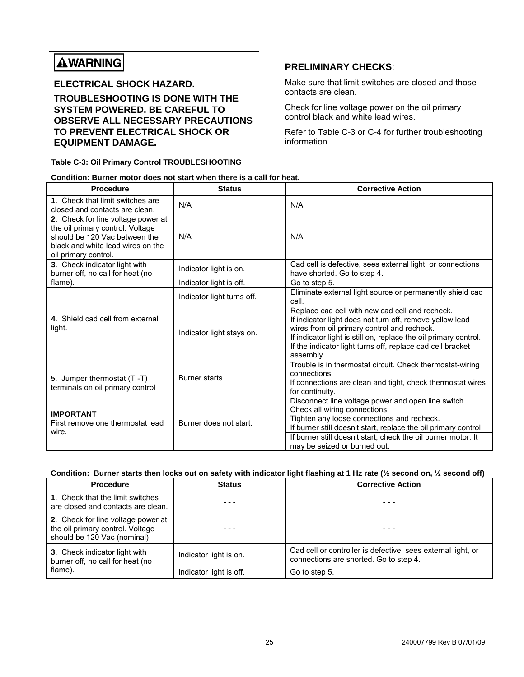# **AWARNING**

**ELECTRICAL SHOCK HAZARD.** 

**TROUBLESHOOTING IS DONE WITH THE SYSTEM POWERED. BE CAREFUL TO OBSERVE ALL NECESSARY PRECAUTIONS TO PREVENT ELECTRICAL SHOCK OR EQUIPMENT DAMAGE.** 

**Table C-3: Oil Primary Control TROUBLESHOOTING** 

#### **PRELIMINARY CHECKS**:

Make sure that limit switches are closed and those contacts are clean.

Check for line voltage power on the oil primary control black and white lead wires.

Refer to Table C-3 or C-4 for further troubleshooting information.

|  | Condition: Burner motor does not start when there is a call for heat. |
|--|-----------------------------------------------------------------------|
|  |                                                                       |

| Procedure                                                                                                                                                            | <b>Status</b>              | <b>Corrective Action</b>                                                                                                                                                                                                                                                                                  |
|----------------------------------------------------------------------------------------------------------------------------------------------------------------------|----------------------------|-----------------------------------------------------------------------------------------------------------------------------------------------------------------------------------------------------------------------------------------------------------------------------------------------------------|
| 1. Check that limit switches are<br>closed and contacts are clean.                                                                                                   | N/A                        | N/A                                                                                                                                                                                                                                                                                                       |
| 2. Check for line voltage power at<br>the oil primary control. Voltage<br>should be 120 Vac between the<br>black and white lead wires on the<br>oil primary control. | N/A                        | N/A                                                                                                                                                                                                                                                                                                       |
| 3. Check indicator light with<br>burner off, no call for heat (no                                                                                                    | Indicator light is on.     | Cad cell is defective, sees external light, or connections<br>have shorted. Go to step 4.                                                                                                                                                                                                                 |
| flame).                                                                                                                                                              | Indicator light is off.    | Go to step 5.                                                                                                                                                                                                                                                                                             |
|                                                                                                                                                                      | Indicator light turns off. | Eliminate external light source or permanently shield cad<br>cell.                                                                                                                                                                                                                                        |
| 4. Shield cad cell from external<br>light.                                                                                                                           | Indicator light stays on.  | Replace cad cell with new cad cell and recheck.<br>If indicator light does not turn off, remove yellow lead<br>wires from oil primary control and recheck.<br>If indicator light is still on, replace the oil primary control.<br>If the indicator light turns off, replace cad cell bracket<br>assembly. |
| 5. Jumper thermostat $(T - T)$<br>terminals on oil primary control                                                                                                   | Burner starts.             | Trouble is in thermostat circuit. Check thermostat-wiring<br>connections.<br>If connections are clean and tight, check thermostat wires<br>for continuity.                                                                                                                                                |
| <b>IMPORTANT</b><br>First remove one thermostat lead<br>wire.                                                                                                        | Burner does not start.     | Disconnect line voltage power and open line switch.<br>Check all wiring connections.<br>Tighten any loose connections and recheck.<br>If burner still doesn't start, replace the oil primary control<br>If burner still doesn't start, check the oil burner motor. It<br>may be seized or burned out.     |

#### **Condition: Burner starts then locks out on safety with indicator light flashing at 1 Hz rate (½ second on, ½ second off)**

| <b>Procedure</b>                                                                                      | <b>Status</b>           | <b>Corrective Action</b>                                                                               |
|-------------------------------------------------------------------------------------------------------|-------------------------|--------------------------------------------------------------------------------------------------------|
| 1. Check that the limit switches<br>are closed and contacts are clean.                                |                         |                                                                                                        |
| 2. Check for line voltage power at<br>the oil primary control. Voltage<br>should be 120 Vac (nominal) |                         |                                                                                                        |
| 3. Check indicator light with<br>burner off, no call for heat (no                                     | Indicator light is on.  | Cad cell or controller is defective, sees external light, or<br>connections are shorted. Go to step 4. |
| flame).                                                                                               | Indicator light is off. | Go to step 5.                                                                                          |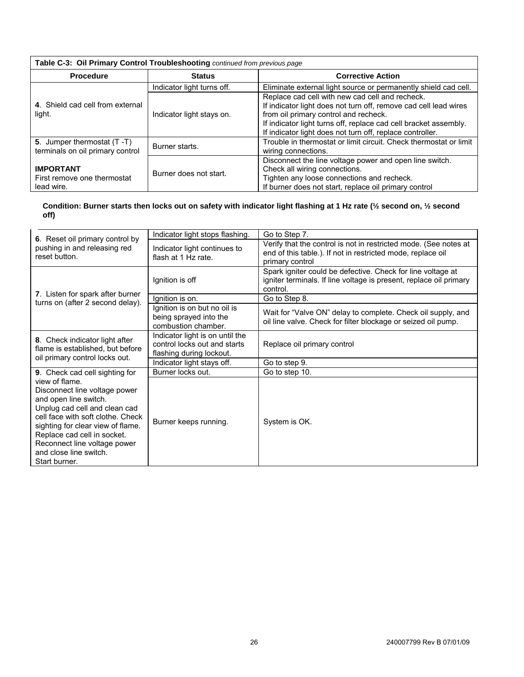| Table C-3: Oil Primary Control Troubleshooting continued from previous page |                            |                                                                                                                                                                                                                                                                                               |  |
|-----------------------------------------------------------------------------|----------------------------|-----------------------------------------------------------------------------------------------------------------------------------------------------------------------------------------------------------------------------------------------------------------------------------------------|--|
| <b>Procedure</b>                                                            | <b>Status</b>              | <b>Corrective Action</b>                                                                                                                                                                                                                                                                      |  |
|                                                                             | Indicator light turns off. | Eliminate external light source or permanently shield cad cell.                                                                                                                                                                                                                               |  |
| 4. Shield cad cell from external<br>light.                                  | Indicator light stays on.  | Replace cad cell with new cad cell and recheck.<br>If indicator light does not turn off, remove cad cell lead wires<br>from oil primary control and recheck.<br>If indicator light turns off, replace cad cell bracket assembly.<br>If indicator light does not turn off, replace controller. |  |
| 5. Jumper thermostat (T-T)<br>terminals on oil primary control              | Burner starts.             | Trouble in thermostat or limit circuit. Check thermostat or limit<br>wiring connections.                                                                                                                                                                                                      |  |
| <b>IMPORTANT</b><br>First remove one thermostat<br>lead wire.               | Burner does not start.     | Disconnect the line voltage power and open line switch.<br>Check all wiring connections.<br>Tighten any loose connections and recheck.<br>If burner does not start, replace oil primary control                                                                                               |  |

#### **Condition: Burner starts then locks out on safety with indicator light flashing at 1 Hz rate (½ second on, ½ second off)**

|                                                                                                                                                                                                                                                                                               | Indicator light stops flashing.                                                             | Go to Step 7.                                                                                                                                      |
|-----------------------------------------------------------------------------------------------------------------------------------------------------------------------------------------------------------------------------------------------------------------------------------------------|---------------------------------------------------------------------------------------------|----------------------------------------------------------------------------------------------------------------------------------------------------|
| 6. Reset oil primary control by<br>pushing in and releasing red<br>reset button.                                                                                                                                                                                                              | Indicator light continues to<br>flash at 1 Hz rate.                                         | Verify that the control is not in restricted mode. (See notes at<br>end of this table.). If not in restricted mode, replace oil<br>primary control |
| 7. Listen for spark after burner                                                                                                                                                                                                                                                              | Ignition is off                                                                             | Spark igniter could be defective. Check for line voltage at<br>igniter terminals. If line voltage is present, replace oil primary<br>control.      |
| turns on (after 2 second delay).                                                                                                                                                                                                                                                              | Ignition is on.                                                                             | Go to Step 8.                                                                                                                                      |
|                                                                                                                                                                                                                                                                                               | Ignition is on but no oil is<br>being sprayed into the<br>combustion chamber.               | Wait for "Valve ON" delay to complete. Check oil supply, and<br>oil line valve. Check for filter blockage or seized oil pump.                      |
| 8. Check indicator light after<br>flame is established, but before                                                                                                                                                                                                                            | Indicator light is on until the<br>control locks out and starts<br>flashing during lockout. | Replace oil primary control                                                                                                                        |
| oil primary control locks out.                                                                                                                                                                                                                                                                | Indicator light stays off.                                                                  | Go to step 9.                                                                                                                                      |
| 9. Check cad cell sighting for                                                                                                                                                                                                                                                                | Burner locks out.                                                                           | Go to step 10.                                                                                                                                     |
| view of flame.<br>Disconnect line voltage power<br>and open line switch.<br>Unplug cad cell and clean cad<br>cell face with soft clothe. Check<br>sighting for clear view of flame.<br>Replace cad cell in socket.<br>Reconnect line voltage power<br>and close line switch.<br>Start burner. | Burner keeps running.                                                                       | System is OK.                                                                                                                                      |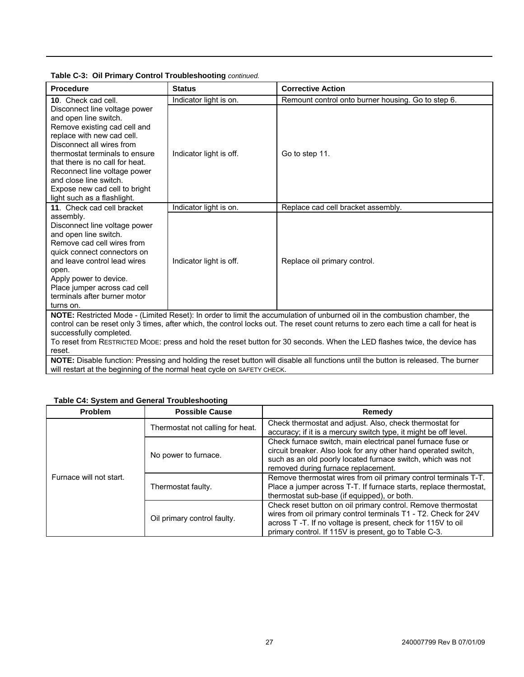| <b>Procedure</b>                                                                                                                                                                                                                                                                                                                                                                                                                    | <b>Status</b>           | <b>Corrective Action</b>                           |  |
|-------------------------------------------------------------------------------------------------------------------------------------------------------------------------------------------------------------------------------------------------------------------------------------------------------------------------------------------------------------------------------------------------------------------------------------|-------------------------|----------------------------------------------------|--|
| 10. Check cad cell.                                                                                                                                                                                                                                                                                                                                                                                                                 | Indicator light is on.  | Remount control onto burner housing. Go to step 6. |  |
| Disconnect line voltage power<br>and open line switch.<br>Remove existing cad cell and<br>replace with new cad cell.<br>Disconnect all wires from<br>thermostat terminals to ensure<br>that there is no call for heat.<br>Reconnect line voltage power<br>and close line switch.<br>Expose new cad cell to bright<br>light such as a flashlight.                                                                                    | Indicator light is off. | Go to step 11.                                     |  |
| 11. Check cad cell bracket                                                                                                                                                                                                                                                                                                                                                                                                          | Indicator light is on.  | Replace cad cell bracket assembly.                 |  |
| assembly.<br>Disconnect line voltage power<br>and open line switch.<br>Remove cad cell wires from<br>quick connect connectors on<br>and leave control lead wires<br>open.<br>Apply power to device.<br>Place jumper across cad cell<br>terminals after burner motor<br>turns on.                                                                                                                                                    | Indicator light is off. | Replace oil primary control.                       |  |
| NOTE: Restricted Mode - (Limited Reset): In order to limit the accumulation of unburned oil in the combustion chamber, the<br>control can be reset only 3 times, after which, the control locks out. The reset count returns to zero each time a call for heat is<br>successfully completed.<br>To reset from RESTRICTED MODE: press and hold the reset button for 30 seconds. When the LED flashes twice, the device has<br>reset. |                         |                                                    |  |
| NOTE: Disable function: Pressing and holding the reset button will disable all functions until the button is released. The burner<br>will restart at the beginning of the normal heat cycle on SAFETY CHECK.                                                                                                                                                                                                                        |                         |                                                    |  |

**Table C-3: Oil Primary Control Troubleshooting** *continued.***<br>Procedure** 

#### **Table C4: System and General Troubleshooting**

| <b>Problem</b>          | <b>Possible Cause</b>            | Remedy                                                                                                                                                                                                                                                  |
|-------------------------|----------------------------------|---------------------------------------------------------------------------------------------------------------------------------------------------------------------------------------------------------------------------------------------------------|
|                         | Thermostat not calling for heat. | Check thermostat and adjust. Also, check thermostat for<br>accuracy; if it is a mercury switch type, it might be off level.                                                                                                                             |
|                         | No power to furnace.             | Check furnace switch, main electrical panel furnace fuse or<br>circuit breaker. Also look for any other hand operated switch,<br>such as an old poorly located furnace switch, which was not<br>removed during furnace replacement.                     |
| Furnace will not start. | Thermostat faulty.               | Remove thermostat wires from oil primary control terminals T-T.<br>Place a jumper across T-T. If furnace starts, replace thermostat,<br>thermostat sub-base (if equipped), or both.                                                                     |
|                         | Oil primary control faulty.      | Check reset button on oil primary control. Remove thermostat<br>wires from oil primary control terminals T1 - T2. Check for 24V<br>across T-T. If no voltage is present, check for 115V to oil<br>primary control. If 115V is present, go to Table C-3. |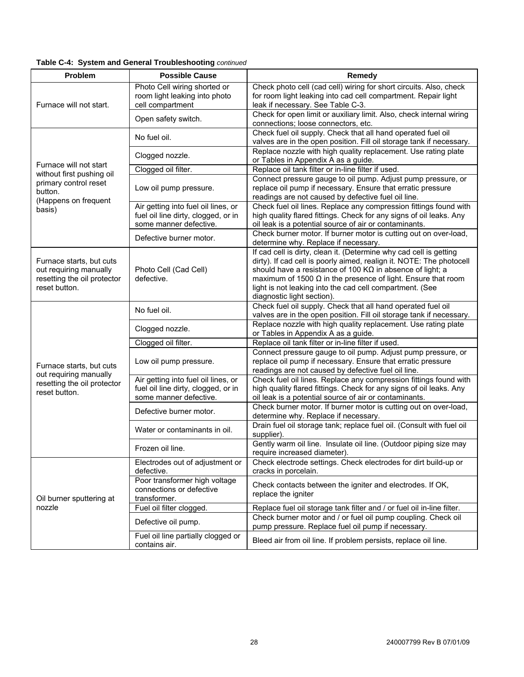#### **Table C-4: System and General Troubleshooting** *continued*

| Problem                                                                                            | <b>Possible Cause</b>                                                                                | Remedy                                                                                                                                                                                                                                                                                                                                                                           |
|----------------------------------------------------------------------------------------------------|------------------------------------------------------------------------------------------------------|----------------------------------------------------------------------------------------------------------------------------------------------------------------------------------------------------------------------------------------------------------------------------------------------------------------------------------------------------------------------------------|
| Furnace will not start.                                                                            | Photo Cell wiring shorted or<br>room light leaking into photo<br>cell compartment                    | Check photo cell (cad cell) wiring for short circuits. Also, check<br>for room light leaking into cad cell compartment. Repair light<br>leak if necessary. See Table C-3.                                                                                                                                                                                                        |
|                                                                                                    | Open safety switch.                                                                                  | Check for open limit or auxiliary limit. Also, check internal wiring<br>connections; loose connectors, etc.                                                                                                                                                                                                                                                                      |
|                                                                                                    | No fuel oil.                                                                                         | Check fuel oil supply. Check that all hand operated fuel oil<br>valves are in the open position. Fill oil storage tank if necessary.                                                                                                                                                                                                                                             |
|                                                                                                    | Clogged nozzle.                                                                                      | Replace nozzle with high quality replacement. Use rating plate<br>or Tables in Appendix A as a guide.                                                                                                                                                                                                                                                                            |
| Furnace will not start<br>without first pushing oil                                                | Clogged oil filter.                                                                                  | Replace oil tank filter or in-line filter if used.                                                                                                                                                                                                                                                                                                                               |
| primary control reset<br>button.<br>(Happens on frequent                                           | Low oil pump pressure.                                                                               | Connect pressure gauge to oil pump. Adjust pump pressure, or<br>replace oil pump if necessary. Ensure that erratic pressure<br>readings are not caused by defective fuel oil line.                                                                                                                                                                                               |
| basis)                                                                                             | Air getting into fuel oil lines, or<br>fuel oil line dirty, clogged, or in<br>some manner defective. | Check fuel oil lines. Replace any compression fittings found with<br>high quality flared fittings. Check for any signs of oil leaks. Any<br>oil leak is a potential source of air or contaminants.                                                                                                                                                                               |
|                                                                                                    | Defective burner motor.                                                                              | Check burner motor. If burner motor is cutting out on over-load,<br>determine why. Replace if necessary.                                                                                                                                                                                                                                                                         |
| Furnace starts, but cuts<br>out requiring manually<br>resetting the oil protector<br>reset button. | Photo Cell (Cad Cell)<br>defective.                                                                  | If cad cell is dirty, clean it. (Determine why cad cell is getting<br>dirty). If cad cell is poorly aimed, realign it. NOTE: The photocell<br>should have a resistance of 100 K $\Omega$ in absence of light; a<br>maximum of 1500 $\Omega$ in the presence of light. Ensure that room<br>light is not leaking into the cad cell compartment. (See<br>diagnostic light section). |
|                                                                                                    | No fuel oil.                                                                                         | Check fuel oil supply. Check that all hand operated fuel oil<br>valves are in the open position. Fill oil storage tank if necessary.                                                                                                                                                                                                                                             |
|                                                                                                    | Clogged nozzle.                                                                                      | Replace nozzle with high quality replacement. Use rating plate<br>or Tables in Appendix A as a guide.                                                                                                                                                                                                                                                                            |
|                                                                                                    | Clogged oil filter.                                                                                  | Replace oil tank filter or in-line filter if used.                                                                                                                                                                                                                                                                                                                               |
| Furnace starts, but cuts<br>out requiring manually                                                 | Low oil pump pressure.                                                                               | Connect pressure gauge to oil pump. Adjust pump pressure, or<br>replace oil pump if necessary. Ensure that erratic pressure<br>readings are not caused by defective fuel oil line.                                                                                                                                                                                               |
| resetting the oil protector<br>reset button.                                                       | Air getting into fuel oil lines, or<br>fuel oil line dirty, clogged, or in<br>some manner defective. | Check fuel oil lines. Replace any compression fittings found with<br>high quality flared fittings. Check for any signs of oil leaks. Any<br>oil leak is a potential source of air or contaminants.                                                                                                                                                                               |
|                                                                                                    | Defective burner motor.                                                                              | Check burner motor. If burner motor is cutting out on over-load,<br>determine why. Replace if necessary.                                                                                                                                                                                                                                                                         |
|                                                                                                    | Water or contaminants in oil.                                                                        | Drain fuel oil storage tank; replace fuel oil. (Consult with fuel oil<br>supplier).                                                                                                                                                                                                                                                                                              |
|                                                                                                    | Frozen oil line.                                                                                     | Gently warm oil line. Insulate oil line. (Outdoor piping size may<br>require increased diameter).                                                                                                                                                                                                                                                                                |
|                                                                                                    | Electrodes out of adjustment or<br>defective.                                                        | Check electrode settings. Check electrodes for dirt build-up or<br>cracks in porcelain.                                                                                                                                                                                                                                                                                          |
| Oil burner sputtering at                                                                           | Poor transformer high voltage<br>connections or defective<br>transformer.                            | Check contacts between the igniter and electrodes. If OK,<br>replace the igniter                                                                                                                                                                                                                                                                                                 |
| nozzle                                                                                             | Fuel oil filter clogged.                                                                             | Replace fuel oil storage tank filter and / or fuel oil in-line filter.                                                                                                                                                                                                                                                                                                           |
|                                                                                                    | Defective oil pump.                                                                                  | Check burner motor and / or fuel oil pump coupling. Check oil<br>pump pressure. Replace fuel oil pump if necessary.                                                                                                                                                                                                                                                              |
|                                                                                                    | Fuel oil line partially clogged or<br>contains air.                                                  | Bleed air from oil line. If problem persists, replace oil line.                                                                                                                                                                                                                                                                                                                  |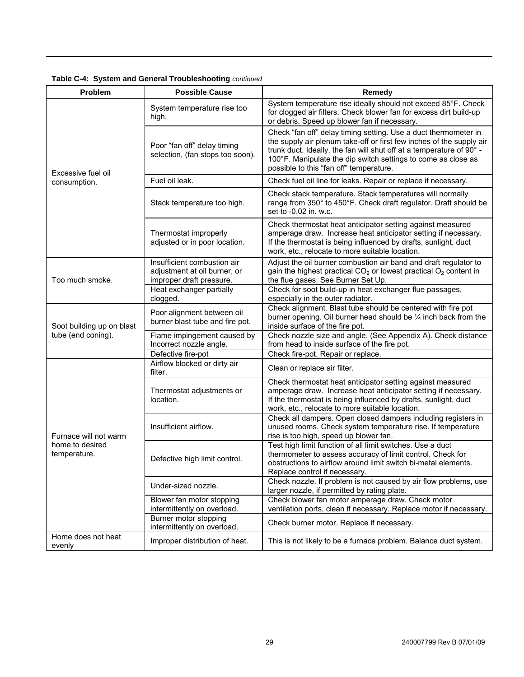| <b>Problem</b>                  | <b>Possible Cause</b>                                                                   | Remedy                                                                                                                                                                                                                                                                                                                      |
|---------------------------------|-----------------------------------------------------------------------------------------|-----------------------------------------------------------------------------------------------------------------------------------------------------------------------------------------------------------------------------------------------------------------------------------------------------------------------------|
|                                 | System temperature rise too<br>high.                                                    | System temperature rise ideally should not exceed 85°F. Check<br>for clogged air filters. Check blower fan for excess dirt build-up<br>or debris. Speed up blower fan if necessary.                                                                                                                                         |
| Excessive fuel oil              | Poor "fan off" delay timing<br>selection, (fan stops too soon).                         | Check "fan off" delay timing setting. Use a duct thermometer in<br>the supply air plenum take-off or first few inches of the supply air<br>trunk duct. Ideally, the fan will shut off at a temperature of 90° -<br>100°F. Manipulate the dip switch settings to come as close as<br>possible to this "fan off" temperature. |
| consumption.                    | Fuel oil leak.                                                                          | Check fuel oil line for leaks. Repair or replace if necessary.                                                                                                                                                                                                                                                              |
|                                 | Stack temperature too high.                                                             | Check stack temperature. Stack temperatures will normally<br>range from 350° to 450°F. Check draft regulator. Draft should be<br>set to -0.02 in. w.c.                                                                                                                                                                      |
|                                 | Thermostat improperly<br>adjusted or in poor location.                                  | Check thermostat heat anticipator setting against measured<br>amperage draw. Increase heat anticipator setting if necessary.<br>If the thermostat is being influenced by drafts, sunlight, duct<br>work, etc., relocate to more suitable location.                                                                          |
| Too much smoke.                 | Insufficient combustion air<br>adjustment at oil burner, or<br>improper draft pressure. | Adjust the oil burner combustion air band and draft regulator to<br>gain the highest practical $CO2$ or lowest practical $O2$ content in<br>the flue gases. See Burner Set Up.                                                                                                                                              |
|                                 | Heat exchanger partially<br>clogged.                                                    | Check for soot build-up in heat exchanger flue passages,<br>especially in the outer radiator.                                                                                                                                                                                                                               |
| Soot building up on blast       | Poor alignment between oil<br>burner blast tube and fire pot.                           | Check alignment. Blast tube should be centered with fire pot<br>burner opening. Oil burner head should be 1/4 inch back from the<br>inside surface of the fire pot.                                                                                                                                                         |
| tube (end coning).              | Flame impingement caused by<br>Incorrect nozzle angle.                                  | Check nozzle size and angle. (See Appendix A). Check distance<br>from head to inside surface of the fire pot.                                                                                                                                                                                                               |
|                                 | Defective fire-pot                                                                      | Check fire-pot. Repair or replace.                                                                                                                                                                                                                                                                                          |
|                                 | Airflow blocked or dirty air<br>filter.                                                 | Clean or replace air filter.                                                                                                                                                                                                                                                                                                |
|                                 | Thermostat adjustments or<br>location.                                                  | Check thermostat heat anticipator setting against measured<br>amperage draw. Increase heat anticipator setting if necessary.<br>If the thermostat is being influenced by drafts, sunlight, duct<br>work, etc., relocate to more suitable location.                                                                          |
| Furnace will not warm           | Insufficient airflow.                                                                   | Check all dampers. Open closed dampers including registers in<br>unused rooms. Check system temperature rise. If temperature<br>rise is too high, speed up blower fan.                                                                                                                                                      |
| home to desired<br>temperature. | Defective high limit control.                                                           | Test high limit function of all limit switches. Use a duct<br>thermometer to assess accuracy of limit control. Check for<br>obstructions to airflow around limit switch bi-metal elements.<br>Replace control if necessary.                                                                                                 |
|                                 | Under-sized nozzle.                                                                     | Check nozzle. If problem is not caused by air flow problems, use<br>larger nozzle, if permitted by rating plate.                                                                                                                                                                                                            |
|                                 | Blower fan motor stopping<br>intermittently on overload.                                | Check blower fan motor amperage draw. Check motor<br>ventilation ports, clean if necessary. Replace motor if necessary.                                                                                                                                                                                                     |
|                                 | Burner motor stopping<br>intermittently on overload.                                    | Check burner motor. Replace if necessary.                                                                                                                                                                                                                                                                                   |
| Home does not heat<br>evenly    | Improper distribution of heat.                                                          | This is not likely to be a furnace problem. Balance duct system.                                                                                                                                                                                                                                                            |

#### **Table C-4: System and General Troubleshooting** *continued*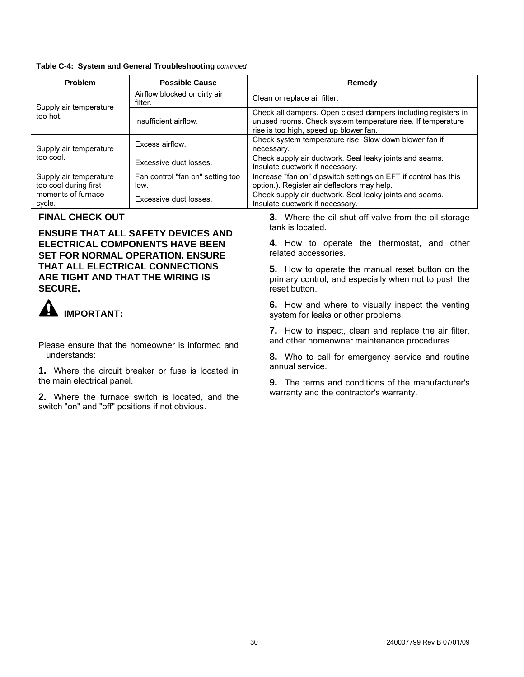#### <span id="page-29-0"></span>**Table C-4: System and General Troubleshooting** *continued*

| Problem                                         | <b>Possible Cause</b>                    | Remedy                                                                                                                                                                 |
|-------------------------------------------------|------------------------------------------|------------------------------------------------------------------------------------------------------------------------------------------------------------------------|
| Supply air temperature                          | Airflow blocked or dirty air<br>filter.  | Clean or replace air filter.                                                                                                                                           |
| too hot.                                        | Insufficient airflow.                    | Check all dampers. Open closed dampers including registers in<br>unused rooms. Check system temperature rise. If temperature<br>rise is too high, speed up blower fan. |
| Supply air temperature                          | Excess airflow.                          | Check system temperature rise. Slow down blower fan if<br>necessary.                                                                                                   |
| too cool.                                       | Excessive duct losses.                   | Check supply air ductwork. Seal leaky joints and seams.<br>Insulate ductwork if necessary.                                                                             |
| Supply air temperature<br>too cool during first | Fan control "fan on" setting too<br>low. | Increase "fan on" dipswitch settings on EFT if control has this<br>option.). Register air deflectors may help.                                                         |
| moments of furnace<br>cycle.                    | Excessive duct losses.                   | Check supply air ductwork. Seal leaky joints and seams.<br>Insulate ductwork if necessary.                                                                             |

**ENSURE THAT ALL SAFETY DEVICES AND ELECTRICAL COMPONENTS HAVE BEEN SET FOR NORMAL OPERATION. ENSURE THAT ALL ELECTRICAL CONNECTIONS ARE TIGHT AND THAT THE WIRING IS SECURE.**



annual service. **1.** Where the circuit breaker or fuse is located in the main electrical panel. **9.** The terms and conditions of the manufacturer's

warranty and the contractor's warranty. **2.** Where the furnace switch is located, and the switch "on" and "off" positions if not obvious.

**FINAL CHECK OUT**<br> **3.** Where the oil shut-off valve from the oil storage<br>
tank is located.

**4.** How to operate the thermostat, and other related accessories.

**5.** How to operate the manual reset button on the primary control, and especially when not to push the reset button.

**6.** How and where to visually inspect the venting **IMPORTANT: IMPORTANT:** system for leaks or other problems.

**7.** How to inspect, clean and replace the air filter, and other homeowner maintenance procedures. Please ensure that the homeowner is informed and

understands: **8.** Who to call for emergency service and routine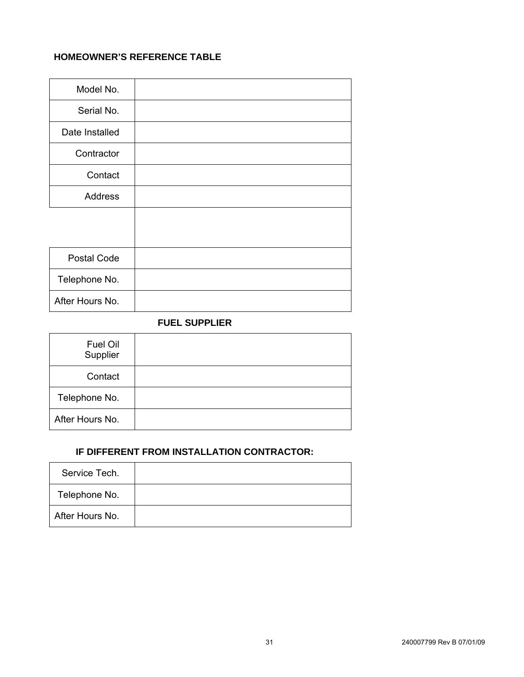### <span id="page-30-0"></span>**HOMEOWNER'S REFERENCE TABLE**

| Model No.       |  |
|-----------------|--|
| Serial No.      |  |
| Date Installed  |  |
| Contractor      |  |
| Contact         |  |
| <b>Address</b>  |  |
|                 |  |
|                 |  |
| Postal Code     |  |
| Telephone No.   |  |
| After Hours No. |  |

#### **FUEL SUPPLIER**

| Fuel Oil<br>Supplier |  |
|----------------------|--|
| Contact              |  |
| Telephone No.        |  |
| After Hours No.      |  |

#### **IF DIFFERENT FROM INSTALLATION CONTRACTOR:**

| Service Tech.   |  |
|-----------------|--|
| Telephone No.   |  |
| After Hours No. |  |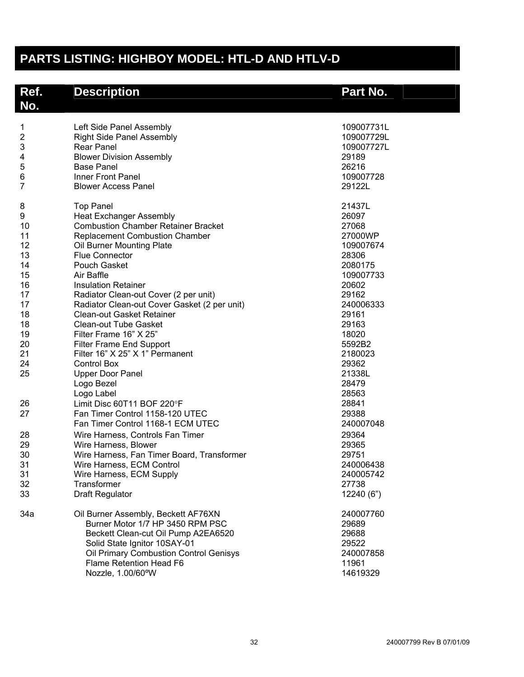# <span id="page-31-0"></span>**PARTS LISTING: HIGHBOY MODEL: HTL-D AND HTLV-D**

| Ref.<br>No.                                                                                                                                | <b>Description</b>                                                                                                                                                                                                                                                                                                                                                                                                                                                                                                                                                                                                                                                                                                                                                                                                                          | Part No.                                                                                                                                                                                                                                                                     |
|--------------------------------------------------------------------------------------------------------------------------------------------|---------------------------------------------------------------------------------------------------------------------------------------------------------------------------------------------------------------------------------------------------------------------------------------------------------------------------------------------------------------------------------------------------------------------------------------------------------------------------------------------------------------------------------------------------------------------------------------------------------------------------------------------------------------------------------------------------------------------------------------------------------------------------------------------------------------------------------------------|------------------------------------------------------------------------------------------------------------------------------------------------------------------------------------------------------------------------------------------------------------------------------|
| $\mathbf 1$<br>$\overline{\mathbf{c}}$<br>3<br>4<br>5<br>6<br>$\overline{7}$                                                               | Left Side Panel Assembly<br><b>Right Side Panel Assembly</b><br><b>Rear Panel</b><br><b>Blower Division Assembly</b><br><b>Base Panel</b><br>Inner Front Panel<br><b>Blower Access Panel</b>                                                                                                                                                                                                                                                                                                                                                                                                                                                                                                                                                                                                                                                | 109007731L<br>109007729L<br>109007727L<br>29189<br>26216<br>109007728<br>29122L                                                                                                                                                                                              |
| 8<br>9<br>10<br>11<br>12<br>13<br>14<br>15<br>16<br>17<br>17<br>18<br>18<br>19<br>20<br>21<br>24<br>25<br>26<br>27<br>28<br>29<br>30<br>31 | <b>Top Panel</b><br><b>Heat Exchanger Assembly</b><br><b>Combustion Chamber Retainer Bracket</b><br><b>Replacement Combustion Chamber</b><br>Oil Burner Mounting Plate<br><b>Flue Connector</b><br>Pouch Gasket<br>Air Baffle<br><b>Insulation Retainer</b><br>Radiator Clean-out Cover (2 per unit)<br>Radiator Clean-out Cover Gasket (2 per unit)<br>Clean-out Gasket Retainer<br><b>Clean-out Tube Gasket</b><br>Filter Frame 16" X 25"<br><b>Filter Frame End Support</b><br>Filter 16" X 25" X 1" Permanent<br><b>Control Box</b><br><b>Upper Door Panel</b><br>Logo Bezel<br>Logo Label<br>Limit Disc 60T11 BOF 220°F<br>Fan Timer Control 1158-120 UTEC<br>Fan Timer Control 1168-1 ECM UTEC<br>Wire Harness, Controls Fan Timer<br>Wire Harness, Blower<br>Wire Harness, Fan Timer Board, Transformer<br>Wire Harness, ECM Control | 21437L<br>26097<br>27068<br>27000WP<br>109007674<br>28306<br>2080175<br>109007733<br>20602<br>29162<br>240006333<br>29161<br>29163<br>18020<br>5592B2<br>2180023<br>29362<br>21338L<br>28479<br>28563<br>28841<br>29388<br>240007048<br>29364<br>29365<br>29751<br>240006438 |
| 31<br>32<br>33                                                                                                                             | Wire Harness, ECM Supply<br>Transformer<br><b>Draft Regulator</b>                                                                                                                                                                                                                                                                                                                                                                                                                                                                                                                                                                                                                                                                                                                                                                           | 240005742<br>27738<br>12240 (6")                                                                                                                                                                                                                                             |
| 34a                                                                                                                                        | Oil Burner Assembly, Beckett AF76XN<br>Burner Motor 1/7 HP 3450 RPM PSC<br>Beckett Clean-cut Oil Pump A2EA6520<br>Solid State Ignitor 10SAY-01<br>Oil Primary Combustion Control Genisys<br>Flame Retention Head F6<br>Nozzle, 1.00/60°W                                                                                                                                                                                                                                                                                                                                                                                                                                                                                                                                                                                                    | 240007760<br>29689<br>29688<br>29522<br>240007858<br>11961<br>14619329                                                                                                                                                                                                       |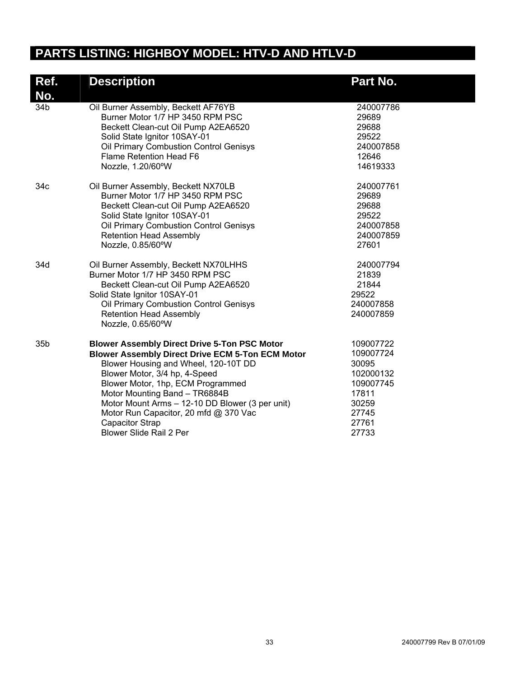# **PARTS LISTING: HIGHBOY MODEL: HTV-D AND HTLV-D**

| Ref.<br>No.     | <b>Description</b>                                                                                                                                                                                                                                                                                                                                                                                             | Part No.                                                                                               |
|-----------------|----------------------------------------------------------------------------------------------------------------------------------------------------------------------------------------------------------------------------------------------------------------------------------------------------------------------------------------------------------------------------------------------------------------|--------------------------------------------------------------------------------------------------------|
| 34b             | Oil Burner Assembly, Beckett AF76YB<br>Burner Motor 1/7 HP 3450 RPM PSC<br>Beckett Clean-cut Oil Pump A2EA6520<br>Solid State Ignitor 10SAY-01<br>Oil Primary Combustion Control Genisys<br><b>Flame Retention Head F6</b><br>Nozzle, 1.20/60°W                                                                                                                                                                | 240007786<br>29689<br>29688<br>29522<br>240007858<br>12646<br>14619333                                 |
| 34c             | Oil Burner Assembly, Beckett NX70LB<br>Burner Motor 1/7 HP 3450 RPM PSC<br>Beckett Clean-cut Oil Pump A2EA6520<br>Solid State Ignitor 10SAY-01<br>Oil Primary Combustion Control Genisys<br><b>Retention Head Assembly</b><br>Nozzle, 0.85/60°W                                                                                                                                                                | 240007761<br>29689<br>29688<br>29522<br>240007858<br>240007859<br>27601                                |
| 34d             | Oil Burner Assembly, Beckett NX70LHHS<br>Burner Motor 1/7 HP 3450 RPM PSC<br>Beckett Clean-cut Oil Pump A2EA6520<br>Solid State Ignitor 10SAY-01<br>Oil Primary Combustion Control Genisys<br><b>Retention Head Assembly</b><br>Nozzle, 0.65/60°W                                                                                                                                                              | 240007794<br>21839<br>21844<br>29522<br>240007858<br>240007859                                         |
| 35 <sub>b</sub> | <b>Blower Assembly Direct Drive 5-Ton PSC Motor</b><br><b>Blower Assembly Direct Drive ECM 5-Ton ECM Motor</b><br>Blower Housing and Wheel, 120-10T DD<br>Blower Motor, 3/4 hp, 4-Speed<br>Blower Motor, 1hp, ECM Programmed<br>Motor Mounting Band - TR6884B<br>Motor Mount Arms - 12-10 DD Blower (3 per unit)<br>Motor Run Capacitor, 20 mfd @ 370 Vac<br><b>Capacitor Strap</b><br>Blower Slide Rail 2 Per | 109007722<br>109007724<br>30095<br>102000132<br>109007745<br>17811<br>30259<br>27745<br>27761<br>27733 |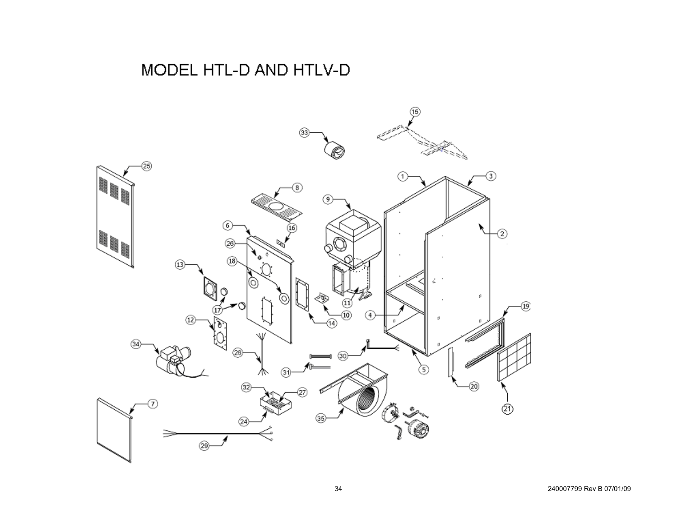# MODEL HTL-D AND HTLV-D